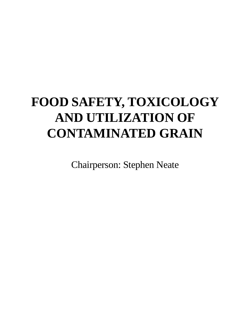# **FOOD SAFETY, TOXICOLOGY AND UTILIZATION OF CONTAMINATED GRAIN**

Chairperson: Stephen Neate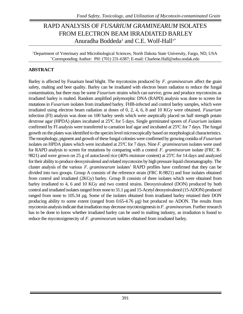# RAPD ANALYSIS OF *FUSARIUM GRAMINEARUM* ISOLATES FROM ELECTRON BEAM IRRADIATED BARLEY Anuradha Boddeda<sup>1</sup> and C.E. Wolf-Hall<sup>1\*</sup>

<sup>1</sup>Department of Veterinary and Microbiological Sciences, North Dakota State University, Fargo, ND, USA \*Corresponding Author: PH: (701) 231-6387; E-mail: Charlene.Hall@ndsu.nodak.edu

### **ABSTRACT**

Barley is affected by Fusarium head blight. The mycotoxins produced by *F. graminearum* affect the grain safety, malting and beer quality. Barley can be irradiated with electron beam radiation to reduce the fungal contamination, but there may be some *Fusarium* strains which can survive, grow and produce mycotoxins as irradiated barley is malted. Random amplified polymorphic DNA (RAPD) analysis was done to screen for mutations in *Fusarium* isolates from irradiated barley. FHB-infected and control barley samples, which were irradiated using electron beam radiation at doses of 0, 2, 4, 6, 8 and 10 KGy were obtained. *Fusarium* infection (FI) analysis was done on 100 barley seeds which were aseptically placed on half strength potato dextrose agar (HPDA) plates incubated at 25ºC for 5 days. Single germinated spores of *Fusarium* isolates confirmed by FI analysis were transferred to carnation leaf agar and incubated at 25ºC for 7 days. The fungal growth on the plates was identified to the species level microscopically based on morphological characteristics. The morphology, pigment and growth of these fungal colonies were confirmed by growing conidia of *Fusarium* isolates on HPDA plates which were incubated at 25ºC for 7 days. Nine *F. graminearum* isolates were used for RAPD analysis to screen for mutations by comparing with a control *F. graminearum* isolate (FRC R-9821) and were grown on 25 g of autoclaved rice (40% moisture content) at 25ºC for 14 days and analyzed for their ability to produce deoxynivalenol and related mycotoxins by high pressure liquid chromatography. The cluster analysis of the various *F. graminearum* isolates' RAPD profiles have confirmed that they can be divided into two groups. Group A consists of the reference strain (FRC R-9821) and four isolates obtained from control and irradiated (2KGy) barley. Group B consists of three isolates which were obtained from barley irradiated to 4, 6 and 10 KGy and two control strains. Deoxynivalenol (DON) produced by both control and irradiated isolates ranged from none to 31.1 µg and 15-Acetyl deoxynivalenol (15-ADON) produced ranged from none to 105.34 µg. Some of the isolates obtained from irradiated barley retained their DON producing ability to some extent (ranged from 0.65-4.76 µg) but produced no ADON. The results from mycotoxin analysis indicate that irradiation may decrease mycotoxigenesis in *F. graminearum.* Further research has to be done to know whether irradiated barley can be used in malting industry, as irradiation is found to reduce the mycotoxigenecity of *F. graminearum* isolates obtained from irradiated barley.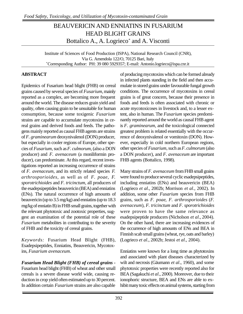# BEAUVERICIN AND ENNIATINS IN FUSARIUM HEAD BLIGHT GRAINS Bottalico A., A. Logrieco<sup>\*</sup> and A. Visconti

Institute of Sciences of Food Production (ISPA), National Research Council (CNR), Via G. Amendola 122/O, 70125 Bari, Italy \*Corresponding Author: PH: 39 080 5929357; E-mail: Antonio.logrieco@ispa.cnr.it

### **ABSTRACT**

Epidemics of Fusarium head blight (FHB) on cereal grains caused by several species of *Fusarium*, mainly reported as a complex, are becoming more frequent around the world. The disease reduces grain yield and quality, often causing grain to be unsuitable for human consumption, because some toxigenic *Fusarium* strains are capable to accumulate mycotoxins in cereal grains and derived foods and feeds. The pathogens mainly reported as causal FHB agents are strains of *F. graminearum* deoxynivalenol (DON) producer, but especially in cooler regions of Europe, other species of *Fusarium*, such as *F. culmorum*, (also a DON producer) and *F. avenaceum* (a moniliformin producer), can predominate. At this regard, recent investigations reported an increasing occurrence of strains of *F. avenaceum*, and its strictly related species *F. arthrosporioides*, as well as of *F. poae*, *F. sporotrichioides* and *F. tricinctum*, all producers of the esadepsipeptides beauvericin (BEA) and enniatins (ENs). The natural occurrence of high amounts of beauvericin (up to 3.5 mg/kg) and enniatins (up to 18.3 mg/kg of enniatin B) in FHB small grains, together with the relevant phytotoxic and zootoxic properties, suggest an examination of the potential role of these *Fusarium* metabolites in contributing to the severity of FHB and the toxicity of cereal grains.

*Keywords:* Fusarium Head Blight (FHB), Esadepsipeptides, Enniatins, Beauvericin, Mycotoxins, *Fusarium avenaceum*.

*Fusarium Head Blight (FHB) of cereal grains -* Fusarium head blight (FHB) of wheat and other small cereals is a severe disease world wide, causing reduction in crop yield often estimated up to 30 percent. In addition certain *Fusarium* strains are also capable of producing mycotoxins which can be formed already in infected plants standing in the field and then accumulate in stored grains under favourable fungal growth conditions. The occurrence of mycotoxins in cereal grains is of great concern, because their presence in foods and feeds is often associated with chronic or acute mycotoxicoses in livestock and, to a lesser extent, also in human. The *Fusarium* species predominantly reported around the world as causal FHB agent is *F. graminearum*, and the toxicological connected greatest problem is related essentially with the occurrence of deoxynivalenol or vomitoxin (DON). However, especially in cold northern European regions, other species of *Fusarium*, such as *F. culmorum* (also a DON producer), and *F. avenaceum* are important FHB agents (Bottalico, 1998).

Many strains of *F. avenaceum* from FHB small grains were found to produce several cyclic esadepsipeptides, including enniatins (ENs) and beauvericin (BEA) (Logrieco *et al*., 2002b; Morrison *et al*., 2002). In addition, some other *Fusarium* species from FHB grains, such as *F. poae*, *F. arthrosporioides* (*F. avenaceum*), *F. tricinctum* and *F. sporotrichioides* were proven to have the same relevance as esadepsipeptide producers (Nicholson *et al*., 2004). On the other hand, there are increasing evidences of the occurrence of high amounts of ENs and BEA in Finnish scab small grains (wheat, rye, oats and barley) (Logrieco *et al*., 2002b; Jestoi *et al*., 2004).

Enniatins were known for a long time as phytotoxins and associated with plant diseases characterized by wilt and necrosis (Gäumann *et al*., 1960), and some phytotoxic properties were recently reported also for BEA (Sagakuchi *et al*., 2000). Moreover, due to their ionophoric structure, BEA and ENs are able to exhibit many toxic effects on animal systems, starting from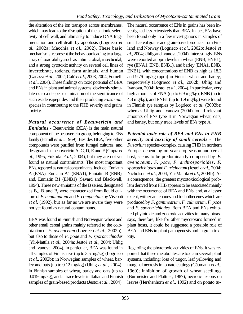the alteration of the ion transport across membranes, which may lead to the disruption of the cationic selectivity of cell wall, and ultimately to induce DNA fragmentation and cell death by apoptosis (Logrieco *et al*., 2002a; Macchia *et al*., 2002). These basic mechanisms, represent the behaviour leading to a large array of toxic ability, such as antimicrobial, insecticidal; and a strong cytotoxic activity on several cell lines of invertebrate, rodents, farm animals, and human (Ganassi *et al*., 2002; Calò *et al*., 2003, 2004; Fornelli *et al*., 2004). These findings on toxic potential of BEA and ENs in plant and animal systems, obviously stimulate us to a deeper examination of the significance of such esadepsipeptides and their producing *Fusarium* species in contributing to the FHB severity and grains toxicity.

*Natural occurrence of Beauvericin and Enniatins -* Beauvericin (BEA) is the main natural component of the beauvericin group, belonging to ENs family (Hamill *et al*., 1969). Besides BEA, five other compounds were purified from fumgal cultures, and designated as beauvericin A, C, D, E and F (Gupta *et al*., 1995; Fukuda *et al*., 2004), but they are not yet found as natural contaminants. The most important ENs, reported as natural contaminants, include: Enniatin A (ENA), Enniatin A1 (ENA1); Enniatin B (ENB); and, Enniatin B1 (ENB1) (Savard and Blackwell, 1994). Three new enniatins of the B series, designated as  $B_2$ ,  $B_3$  and  $B_4$  were characterized from liquid culture of *F. acuminatum* and *F. compactum* by Visconti *et al*. (1992), but as far as we are aware they were not yet found as natural contaminants.

BEA was found in Finnish and Norwegian wheat and other small cereal grains mainly referred to the colonization of *F. avenaceum* (Logrieco *et al*., 2002b), but also to those of *F. poae* and *F. sporotrichiodes* (Yli-Mattila *et al*., 2004a; Jestoi *et al*., 2004; Uhlig and Ivanova, 2004). In particular, BEA was found in all samples of Finnish rye (up to 3.5 mg/kg) (Logrieco *et al*., 2002b); in Norwegian samples of wheat, barley and oats (up to 0.12 mg/kg) (Uhlig *et al*., 2004); in Finnish samples of wheat, barley and oats (up to 0.019 mg/kg), and at trace levels in Italian and Finnish samples of grain-based products (Jestoi *et al.*, 2004).

The natural occurrence of ENs in grains has been investigated less extensively than BEA. In fact, ENs have been found only in a few investigations in samples of small cereal grains and grain-based products from Finland and Norway (Logrieco *et al*., 2002b; Jestoi *et al*., 2004; Uhlig and Ivanova, 2004). Interestingly, ENs were reported at ppm levels in wheat (ENB, ENB1), rye (ENA1, ENB, ENB1), and barley (ENA1, ENB, ENB1), with concentrations of ENB as high as 18.3 and 9.76 mg/kg (ppm) in Finnish wheat and barley, respectively (Logrieco *et al*., 2002b; Uhlig and Ivanova, 2004; Jestoi *et al* , 2004). In particular, very high amounts of ENA (up to 6.9 mg/kg), ENB (up to 4.8 mg/kg); and ENB1 (up to 1.9 mg/kg) were found in Finnish rye samples by Logrieco *et al*. (2002b); whereas Uhlig and Ivanova (2004) found relevant amounts of ENs type B in Norwegian wheat, oats, and barley, but only trace levels of ENs type A.

*Potential toxic role of BEA and ENs in FHB severity and toxicity of small cereals -* The *Fusarium* species-complex causing FHB in northern Europe, depending on year crop season and cereal host, seems to be predominantly composed by *F. avenaceum*, *F. poae*, *F. arthrosporioides*, *F. sporotrichiodes* and *F. tricinctum* (Jestoi *et al*., 2004; Nicholson *et al*., 2004; Yli-Mattila *et al*., 2004b). As a consequence, the greatest mycotoxicological problem derived from FHB appears to be associated mainly with the occurrence of BEA and ENs and, at a lesser extent, with zearalenones and trichothecenes which are produced by *F. gaminearum*, *F. culmorum*, *F. poae* and *F. sporotrichiodes*. Both BEA and ENs exhibited phytotoxic and zootoxic activities in many bioassays, therefore, like for other mycotoxins formed in plant hosts, it could be suggested a possible role of BEA and ENs in plant pathogenesis and in grain toxicity.

Regarding the phytotoxic activities of ENs, it was reported that these metabolites are toxic in several plant systems, including: loss of turgor, leaf yellowing and marginal necrosis in tomato cuttings (Gäumann *et al*., 1960); inhibition of growth of wheat seedlings (Burmeister and Plattner, 1987); necrotic lesions on leaves (Hershenhorn *et al*., 1992) and on potato tu-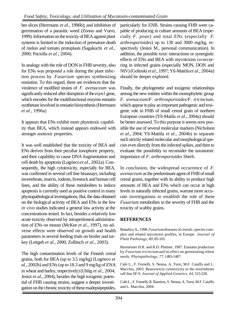ber slices (Herrmann *et al*., 1996b); and inhibition of germination of a parasitic weed (Zonno and Vurro, 1999). Information on the toxicity of BEA against plant systems is limited to the induction of premature death of melon and tomato protoplasts (Sagakuchi *et al*., 2000; Paciolla *et al.*, 2004).

In analogy with the role of DON in FHB severity, also for ENs was proposed a role during the plant infection process by *Fusarium* species synthesizing enniatins. To this regard, there are evidences that the virulence of modified strains of *F. avenaceum* was significantly reduced after disruption of the *esyn1* gene, which encodes for the multifunctional enzyme enniatin synthetase involved in enniatin biosynthesis (Herrmann *et al*., 1996a)

It appears that ENs exhibit more phytotoxic capability than BEA, which instead appears endowed with stronger zootoxic properties.

It was well established that the toxicity of BEA and ENs derives from their peculiar ionophoric property, and their capability to cause DNA fragmentation and cell death by apoptosis (Logrieco *et al*., 2002a). Consequently, the high cytotoxicity, especially for BEA, was confirmed in several cell line bioassays, including invertebrate, insects, rodents, livestock and human cell lines, and the ability of these metabolites to induce apoptosis is currently used as positive control in many physiopathological investigations. But, the data obtained on the biological activity of BEA and ENs in the few *in vivo* studies indicated a general low activity at the concentrations tested. In fact, besides a relatively low acute toxicity observed by intraperitoneal administration of ENs on mouse (McKee *et al*., 1997), no adverse effects were observed on growth and health parameters in several feeding trials on broiler and turkey (Leitgeb *et al*., 2000; Zollitsch *et al*., 2003).

The high contamination levels of the Finnish cereal grains, both for BEA (up to 3.5 mg/kg) (Logrieco *et al*., 2002b) and ENs (up to 18.3 and 9 mg/kg of ENA in wheat and barley, respectively) (Uhlig *et al*., 2004; Jestoi *et al*., 2004), besides the high toxigenic potential of FHB causing strains, suggest a deeper investigation on the chronic toxicity of these esadepsipeptides,

particularly for ENB. Strains causing FHB were capable of producing in culture amounts of BEA (especially *F. poae*) and total ENs (especially *F. arthrosporioides*) up to 130 and 3000 mg/kg, respectively (Jestoi M., personal communication). In addition, the possible toxic interactions or synergistic effects of ENs and BEA with mycotoxins co-occurring in infected grains (especially MON, DON and NIV) (Golinski *et al*., 1997; Yli-Mattila *et al*., 2004a) should be deeper explored.

Finally, the phylogenetic and toxigenic relationships among the new entities within the monophyletic group *F. avenaceum*/*F. arthrosporioides/F. tricinctum*, which appear to play an important pathogenic and toxigenic role in FHB of small cereal grain of northern European countries (Yli-Matila *et al*., 2004a) should be better assessed. To this purpose it seems now possible the use of several molecular markers (Nicholson *et al*., 2004; Yli-Mattila *et al*., 2004b) to separate such strictly related molecular and morphological species even directly from the infected spikes, and then to evaluate the possibility to reconsider the taxonomic importance of *F. arthrosporioides* Sherb.

In conclusion, the widespread occurrence of *F. avenaceum* as the predominant agent of FHB of small cereal grains, together with its ability to produce high amounts of BEA and ENs which can occur at high levels in naturally infected grains, warrant more accurate investigations to establish the role of these *Fusarium* metabolites in the severity of FHB and the toxicity of scabby grains.

### **REFERENCES**

Bottalico A., 1998. *Fusarium* diseases of cereals: species complex and related mycotoxin profiles, in Europe. *Journal of Plant Pathology*, *80*, 85-103.

Burmeister H.R. and R.D. Plattner, 1987. Enniatin production by *Fusarium tricinctum* and its effect on germinating wheat seeds. *Phytopathology*, *77*, 1483-1487.

Calò L., F. Fornelli, S. Nenna, A. Tursi, M.F. Caiaffa and L. Macchia, 2003. Beauvericin cytotoxicity to the invertebrate cell line SF-9. *Journal of Applied Genetics*, *44*, 515-520.

Calò L., F. Fornelli, R. Ramires, S. Nenna, A. Tursi, M.F. Caiaffa and L. Macchia, 2004.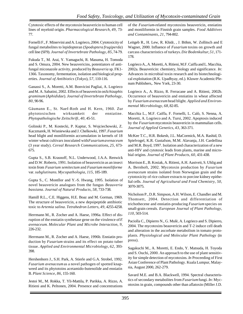Cytotoxic effects of the mycotoxin beauvericin to human cell lines of myeloid origin. *Pharmacological Research*, *49*, 73- 77.

Fornelli F., F. Minervini and A. Logrieco, 2004. Cytotoxicity of fungal metabolites to lepidopteran (*Spodoptera frugiperda*) cell line (SF9). *Journal of Invertebrate Pathology*, *85*, 74-79.

Fukuda T., M. Arai, Y. Yamaguchi, R. Masuma, H. Tomoda and S. Omura, 2004. New beauvericins, potentiators of antifungal miconazole activity, produced by *Beauveria* sp. FK1- 1366. Taxonomy, fermentation, isolation and biological properties. *Journal of Antibiotics* (*Tokyo*), *57*, 110-116.

Ganassi S., A. Moretti, A.M. Bonvicini Pagliai, A. Logrieco and M. A. Sabatini, 2002. Effects of beauvericin on *Schizaphis graminum* (*Aphididae*). *Journal of Invertebrate Pathology*, *80*, 90-96.

Gäumann E., St. Naef-Roth and H. Kern, 1960. Zur phytotoxischen wirksamkeit der enniatine. *Phytopathologische Zeitschrift*, *40*, 45-51.

Golinski P., M. Kostecki, P. Kaptur, S. Wojciechowski, Z. Kaczmarek, H. Wisniewska and J. Chelkowki, 1997. *Fusarium* head blight and moniliformin accumulation in kernels of 18 winter wheat cultivars inoculated with *Fusariumavenaceum* (3 year study). *Cereal Research Communications*, *25*, 673- 675.

Gupta S., S.B. Krasnoff, N.L. Underwood, J.A.A. Renwick and D.W. Roberts, 1991. Isolation of beauvericin as an insect toxin from *Fusarium semitectum* and *Fusarium moniliforme* var. *subglutinans*. *Mycopathologia*, *115*, 185-189.

Gupta S., C. Montllor and Y.-S. Hwang, 1995. Isolation of novel beauvericin analogues from the fungus *Beauveria bassiana*. *Journal of Natural Products*, *58*, 733-738.

Hamill R.L., C.E. Higgens, H.E. Boaz and M. Gorman, 1969. The structure of beauvericin, a new depsipeptide antibiotic toxic to *Artemia salina*. *Tetrahedron Letters*, *49*, 4255-4258.

Herrmann M., R. Zocher and A. Haese, 1996a. Effect of disruption of the enniatin synthetase gene on the virulence of *F. avenaceum*. *Molecular Plant and Microbe Interaction*, *9*, 226-232.

Herrmann M., R. Zocher and A. Haese, 1996b. Enniatin production by *Fusarium* strains and its effect on potato tuber tissue. *Applied and Environmental Microbiology*, *62*, 393- 398.

Hershenhorn J., S.H. Park, A. Stierle and G.A. Strobel, 1992. *Fusarium avenaceum* as a novel pathogen of spotted knapweed and its phytotoins acetamido-butenolide and enniatin B. *Plant Science*, *86*, 155-160.

Jestoi M., M. Rokka, T. Yli-Mattila, P. Parikka, A. Rizzo, A. Ritieni and K. Peltonen, 2004. Presence and concentrations

of the *Fusarium*-related mycotoxins beauvericin, enniatins and moniliformin in Finnish grain samples. *Food Additives and Contaminants*, *21*, 794-802.

Leitgeb R., H. Lew, R. Khidr, , J. Böhm, W. Zollitsch and E Wagner, 2000. Influence of *Fusarium* toxins on growth and carcass characteristics of turkeys. *Die Bodenkultur*, *51*, 171- 178.

Logrieco A., A. Moretti, A. Ritieni, M.F. Caiffa and L. Macchia, 2002a. Beauvericin: chemistry, biology and significance. *In*: Advances in microbial toxin research and its biotechnological exploitation (R.K. Upadhyay, ed.). Kluwer Academic/Plenum Publishers,. New York, 23-30.

Logrieco A., A. Rizzo, R. Ferracane and A. Ritieni, 2002b. Occurrence of beauvericin and enniatins in wheat affected by *Fusarium avenaceum* head blight. *Applied and Environmental Microbiology*, *68*, 82-85.

Macchia L., M.F. Caiffa, F. Fornelli, L. Calò, S. Nenna, A. Moretti, A. Logrieco and A. Tursi, 2002. Apoptosis induced by the *Fusarium* mycotoxin beauvericin in mammalian cells. *Journal of Applied Genetics*, *43*, 363-371.

McKee T.C., H.R. Bokesh, J.L. MaCormick, M.A. Rashid, D. Spielvogel, K.R. Gustafson, M.M. Alavanja, J.H. Cardellina and M.R. Boyd, 1997. Isolation and characterization of a new anti-HIV and cytotoxic leads from plants, marine and microbial origins. *Journal of Plant Products*, *60*, 431-438.

Morrison E., B. Kosiak, A. Ritieni, A.H. Aastveit, S. Uhlig and A. Bernhoft, 2002. Mycotoxin production by *Fusarium avenaceum* strains isolated from Norwegian grain and the cytotoxicity of rice culture extracts to porcine kidney epithelial cells. *Journal of Agricultural and Food Chemistry*, *50*, 3070-3075.

Nicholson P., D.R. Simpson, A.H. Wilson, E. Chandler and M. Thomsett, 2004. Detection and differentiation of trichothecene and enniatin-producing *Fusarium* species on small-grain cereals. *European Journal of Plant Pathology*, *110*, 503-514.

Paciolla C., Dipierro N., G. Mulè, A. Logrieco and S. Dipierro, 2004. The mycotoxins beauvericin and T-2 induce cell death and alteration in the ascorbate metabolism in tomato protoplasts. *Physiological and Molecular Plant Pathology* (in press).

Sagakuchi M., A. Moretti, E. Endo, Y. Matsuda, H. Toyoda and S. Ouchi, 2000. An approach to the use of plant sensitivity for simple detection of mycotoxins. *In* Proceeding of First Asian Conference of Plant Pathology. Kuala Lumpur, Malaysia, August 2000, 262-279.

Savard M.E. and B.A. Blackwell, 1994. Spectral characteristics of secondary metabolites from *Fusarium* fungi. *In*: Mycotoxins in grain, compounds other than aflatoxin (Miller J.D.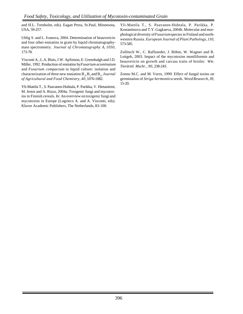and H.L. Trenholm, eds). Eagan Press, St.Paul, Minnesota, USA, 59-257.

Uhlig S. and L. Ivanova, 2004. Determination of beauvericin and four other enniatins in grain by liquid chromatographymass spectrometry. *Journal of Chromatography A*, *1050*, 173-78.

Visconti A., L.A. Blais, J.W. ApSimon, E. Greenhalgh and J.D. Miller, 1992. Production of enniatins by *Fusarium acuminatum* and *Fusarium compactum* in liquid culture: isolation and characterization of three new enniatins  $B_2, B_3$  and  $B_4$ . *Journal of Agricultural and Food Chemistry*, *40*, 1076-1082.

Yli-Mattila T., S. Paavanen-Huhtala, P. Parikka, V. Hietaniemi, M. Jestoi and A. Rizzo, 2004a. Toxigenic fungi and mycotoxins in Finnish cereals. *In*: An overview on toxigenic fungi and mycotoxins in Europe (Logrieco A. and A. Visconti, eds). Kluver Academic Publishers, The Netherlands, 83-100.

Yli-Mattila T., S. Paavanen-Huhtala, P. Parikka, P. Kostantinova and T.Y. Gagkaeva, 2004b. Molecular and morphological diversity of *Fusarium* species in Finland and northwestern Russia. *European Journal of Plant Pathology*, *110*, 573-585.

Zollitsch W., C. Raffaseder, J. Böhm, W. Wagner and R. Leitgeb, 2003. Impact of the mycotoxins moniliformin and beauvericin on growth and carcass traits of broiler. *Wie. Tierärztl. Mschr.*, *90*, 238-243.

Zonno M.C. and M. Vurro, 1999. Effect of fungal toxins on germination of *Striga hermontica* seeds. *Weed Research*, *39*, 15-20.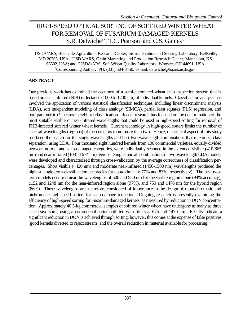### HIGH-SPEED OPTICAL SORTING OF SOFT RED WINTER WHEAT FOR REMOVAL OF FUSARIUM-DAMAGED KERNELS S.R. Delwiche<sup>1\*</sup>, T.C. Pearson<sup>2</sup> and C.S. Gaines<sup>3</sup>

<sup>1</sup>USDA/ARS, Beltsville Agricultural Research Center, Instrumentation and Sensing Laboratory, Beltsville, MD 20705, USA; <sup>2</sup>USDA/ARS, Grain Marketing and Production Research Center, Manhattan, KS 66502, USA; and <sup>3</sup>USDA/ARS, Soft Wheat Quality Laboratory, Wooster, OH 44691, USA \*Corresponding Author: PH: (301) 504-8450; E-mail: delwiche@ba.ars.usda.gov

#### **ABSTRACT**

Our previous work has examined the accuracy of a semi-automated wheat scab inspection system that is based on near-infrared (NIR) reflectance (1000 to 1700 nm) of individual kernels. Classification analysis has involved the application of various statistical classification techniques, including linear discriminant analysis (LDA), soft independent modeling of class analogy (SIMCA), partial least squares (PLS) regression, and non-parametric (*k*-nearest-neighbor) classification. Recent research has focused on the determination of the most suitable visible or near-infrared wavelengths that could be used in high-speed sorting for removal of FHB-infected soft red winter wheat kernels. Current technology in high-speed sorters limits the number of spectral wavelengths (regions) of the detectors to no more than two. Hence, the critical aspect of this study has been the search for the single wavelengths and best two-wavelength combinations that maximize class separation, using LDA. Four thousand eight hundred kernels from 100 commercial varieties, equally divided between normal and scab-damaged categories, were individually scanned in the extended visible (410-865 nm) and near-infrared (1031-1674 nm) regions. Single- and all combinations of two-wavelength LDA models were developed and characterized through cross-validation by the average correctness of classification percentages. Short visible (~420 nm) and moderate near-infrared (1450-1500 nm) wavelengths produced the highest single-term classification accuracies (at approximately 77% and 83%, respectively). The best twoterm models occurred near the wavelengths of 500 and 550 nm for the visible region alone (94% accuracy), 1152 and 1248 nm for the near-infrared region alone (97%), and 750 and 1476 nm for the hybrid region (86%). These wavelengths are, therefore, considered of importance in the design of monochromatic and bichromatic high-speed sorters for scab-damage reduction. Ongoing research is presently examining the efficiency of high-speed sorting for Fusarium-damaged kernels, as measured by reduction in DON concentration. Approximately 40 5-kg commercial samples of soft red winter wheat have undergone as many as three successive sorts, using a commercial sorter outfitted with filters at 675 and 1470 nm. Results indicate a significant reduction in DON is achieved through sorting; however, this comes at the expense of false positives (good kernels diverted to reject stream) and the overall reduction in material available for processing.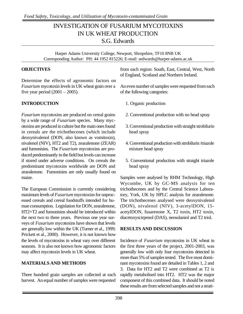### INVESTIGATION OF FUSARIUM MYCOTOXINS IN UK WHEAT PRODUCTION S.G. Edwards

Harper Adams University College, Newport, Shropshire, TF10 8NB UK Corresponding Author: PH: 44 1952 815226; E-mail: sedwards@harper-adams.ac.uk

#### **OBJECTIVES**

Determine the effects of agronomic factors on *Fusarium* mycotoxin levels in UK wheat grain over a five year period  $(2001 – 2005)$ .

### **INTRODUCTION**

*Fusarium* mycotoxins are produced on cereal grains by a wide range of *Fusarium* species. Many mycotoxins are produced in culture but the main ones found in cereals are the trichothecenes (which include deoxynivalenol (DON, also known as vomitoxin), nivalenol (NIV), HT2 and T2), zearalenone (ZEAR) and fumonisins. The *Fusarium* mycotoxins are produced predominantly in the field but levels can increase if stored under adverse conditions. On cereals the predominant mycotoxins worldwide are DON and zearalenone. Fumonisins are only usually found on maize.

The European Commission is currently considering maximum levels of *Fusarium* mycotoxins for unprocessed cereals and cereal foodstuffs intended for human consumption. Legislation for DON, zearalenone, HT2+T2 and fumonisins should be introduced within the next two to three years. Previous one year surveys of *Fusarium* mycotoxins have shown that levels are generally low within the UK (Turner et al., 1999; Prickett et al., 2000). However, it is not known how the levels of mycotoxins in wheat vary over different seasons. It is also not known how agronomic factors may affect mycotoxin levels in UK wheat.

#### **MATERIALS AND METHODS**

Three hundred grain samples are collected at each harvest. An equal number of samples were requested

from each region: South, East, Central, West, North of England, Scotland and Northern Ireland.

An even number of samples were requested from each of the following categories:

- 1. Organic production
- 2. Conventional production with no head spray
- 3. Conventional production with straight strobilurin head spray
- 4. Conventional production with strobilurin /triazole mixture head spray
- 5. Conventional production with straight triazole head spray

Samples were analysed by RHM Technology, High Wycombe, UK by GC-MS analysis for ten trichothecenes and by the Central Science Laboratory, York, UK by HPLC analysis for zearalenone. The trichothecenes analysed were deoxynivalenol (DON), nivalenol (NIV), 3-acetylDON, 15 acetylDON, fusarenone X, T2 toxin, HT2 toxin, diacetoxyscirpenol (DAS), neosolaniol and T2 triol.

#### **RESULTS AND DISCUSSION**

Incidence of *Fusarium* mycotoxins in UK wheat in the first three years of the project, 2001-2003, was generally low with only four mycotoxins detected in more than 5% of samples tested. The five most dominant mycotoxins found are detailed in Tables 1, 2 and 3. Data for HT2 and T2 were combined as T2 is rapidly metabolised into HT2. HT2 was the major component of this combined data. It should be noted these results are from selected samples and not a strati-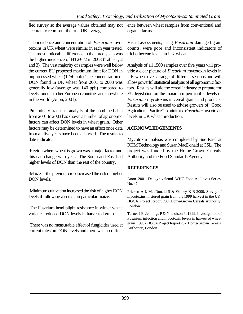fied survey so the average values obtained may not accurately represent the true UK averages.

The incidence and concentration of *Fusarium* mycotoxins in UK wheat were similar in each year tested. The most noticeable difference in the three years was the higher incidence of HT2+T2 in 2003 (Table 1, 2 and 3). The vast majority of samples were well below the current EU proposed maximum limit for DON in unprocessed wheat (1250 ppb) The concentration of DON found in UK wheat from 2001 to 2003 was generally low (average was 140 ppb) compared to levels found in other European countries and elsewhere in the world (Anon, 2001).

Preliminary statistical analysis of the combined data from 2001 to 2003 has shown a number of agronomic factors can affect DON levels in wheat grain. Other factors may be determined to have an effect once data from all five years have been analysed. The results to date indicate:

·Region where wheat is grown was a major factor and this can change with year. The South and East had higher levels of DON than the rest of the country.

·Maize as the previous crop increased the risk of higher DON levels.

·Minimum cultivation increased the risk of higher DON levels if following a cereal, in particular maize.

·The Fusarium head blight resistance in winter wheat varieties reduced DON levels in harvested grain.

·There was no measurable effect of fungicides used at current rates on DON levels and there was no difference between wheat samples from conventional and organic farms.

Visual assessments, using *Fusarium* damaged grain counts, were poor and inconsistent indicators of trichothecene levels in UK wheat.

Analysis of all 1500 samples over five years will provide a clear picture of *Fusarium* mycotoxin levels in UK wheat over a range of different seasons and will allow powerful statistical analysis of all agronomic factors. Results will aid the cereal industry to prepare for EU legislation on the maximum permissible levels of *Fusarium* mycotoxins in cereal grains and products. Results will also be used to advise growers of "Good Agricultural Practice" to minimise *Fusarium* mycotoxin levels in UK wheat production.

#### **ACKNOWLEDGEMENTS**

Mycotoxin analysis was completed by Sue Patel at RHM Technology and Susan MacDonald at CSL. The project was funded by the Home-Grown Cereals Authority and the Food Standards Agency.

#### **REFERENCES**

Anon. 2001. Deoxynivalenol. WHO Food Additives Series, No. 47.

Prickett A J, MacDonald S & Wildey K B 2000. Survey of mycotoxins in stored grain from the 1999 harvest in the UK. HGCA Project Report 230. Home-Grown Cereals Authority, London.

Turner J E, Jennings P & Nicholson P. 1999. Investigation of Fusarium infection and mycotoxin levels in harvested wheat grain (1998). HGCA Project Report 207. Home-Grown Cereals Authority, London.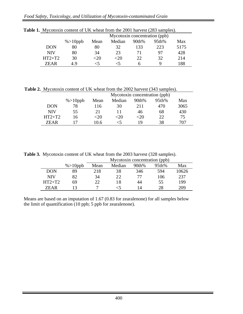|            |              | Mycotoxin concentration (ppb) |        |       |       |      |  |  |  |  |  |
|------------|--------------|-------------------------------|--------|-------|-------|------|--|--|--|--|--|
|            | $\%$ > 10ppb | Mean                          | Median | 90th% | 95th% | Max  |  |  |  |  |  |
| <b>DON</b> | 80           | 80                            | 32     | 133   | 223   | 5175 |  |  |  |  |  |
| <b>NIV</b> | 80           | 34                            | 23     |       | 97    | 428  |  |  |  |  |  |
| $HT2+T2$   | 30           | <20                           | <20    | 22    | 32    | 214  |  |  |  |  |  |
| 7EAR       | 49           | $\leq 5$                      |        | h     | Q     | 188  |  |  |  |  |  |

**Table 1.** Mycotoxin content of UK wheat from the 2001 harvest (283 samples).

**Table 2.** Mycotoxin content of UK wheat from the 2002 harvest (343 samples).

|             |              | Mycotoxin concentration (ppb) |        |       |       |      |  |  |  |  |  |
|-------------|--------------|-------------------------------|--------|-------|-------|------|--|--|--|--|--|
|             | $\%$ > 10ppb | Mean                          | Median | 90th% | 95th% | Max  |  |  |  |  |  |
| <b>DON</b>  | 78           | 116                           | 30     | 211   | 470   | 3065 |  |  |  |  |  |
| <b>NIV</b>  | 55           | 21                            |        | 46    | 68    | 430  |  |  |  |  |  |
| $HT2+T2$    | 16           | $<$ 20                        | <20    | -20   | 22    | 75   |  |  |  |  |  |
| <b>ZEAR</b> |              | 10.6                          |        | 19    | 38    | 707  |  |  |  |  |  |

**Table 3.** Mycotoxin content of UK wheat from the 2003 harvest (328 samples).

|            |              | Mycotoxin concentration (ppb) |        |       |       |       |  |  |  |  |  |
|------------|--------------|-------------------------------|--------|-------|-------|-------|--|--|--|--|--|
|            | $\%$ > 10ppb | Mean                          | Median | 90th% | 95th% | Max   |  |  |  |  |  |
| <b>DON</b> | 89           | 218                           | 38     | 346   | 594   | 10626 |  |  |  |  |  |
| <b>NIV</b> | 82           | 34                            | 22     | 77    | 106   | 237   |  |  |  |  |  |
| $HT2+T2$   | 69           | 22                            | 18     | 44    | 55    | 199   |  |  |  |  |  |
| ZEAR       |              |                               |        | 14    | 28    | 209   |  |  |  |  |  |

Means are based on an imputation of 1.67 (0.83 for zearalenone) for all samples below the limit of quantification (10 ppb; 5 ppb for zearalenone).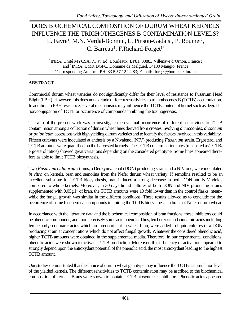### DOES BIOCHEMICAL COMPOSITION OF DURUM WHEAT KERNELS INFLUENCE THE TRICHOTHECENES B CONTAMINATION LEVELS? L. Favre<sup>1</sup>, M.N. Verdal-Bonnin<sup>1</sup>, L. Pinson-Gadais<sup>1</sup>, P. Roumet<sup>2</sup>, C. Barreau<sup>1</sup>, F.Richard-Forget<sup>1\*</sup>

<sup>1</sup>INRA, Unité MYCSA, 71 av Ed. Bourleaux, BP81, 33883 Villenave d'Ornon, France ; and <sup>2</sup> INRA, UMR DGPC, Domaine de Melgueil, 34130 Maugio, France \*Corresponding Author: PH: 33 5 57 12 24 83; E-mail: fforget@bordeaux.inra.fr

#### **ABSTRACT**

Commercial durum wheat varieties do not significantly differ for their level of resistance to Fusarium Head Blight (FBH). However, this does not exclude different sensitivities to trichothecenes B (TCTB) accumulation. In addition to FBH resistance, several mechanisms may influence the TCTB content of kernel such as degradation/conjugation of TCTB or occurrence of compounds inhibiting the toxinogenesis.

The aim of the present work was to investigate the eventual occurrence of different sensitivities to TCTB contamination among a collection of durum wheat lines derived from crosses involving *dicoccoïdes*, *dicoccum* or *polonicum* accessions with high yielding durum varieties and to identify the factors involved in this variability. Fifteen cultivars were inoculated at anthesis by a Nivalenol (NIV) producing *Fusarium* strain. Ergosterol and TCTB amounts were quantified on the harvested kernels. The TCTB contamination rates (measured as TCTB/ ergosterol ratios) showed great variations depending on the considered genotype. Some lines appeared therefore as able to limit TCTB biosynthesis.

Two *Fusarium culmorum* strains, a Deoxynivalenol (DON) producing strain and a NIV one, were inoculated *in vitro* on kernels, bran and semolina from the Nefer durum wheat variety. If semolina resulted to be an excellent substrate for TCTB biosynthesis, bran induced a strong decrease in both DON and NIV yields compared to whole kernels. Moreover, in 30 days liquid cultures of both DON and NIV producing strains supplemented with  $0.05g.f<sup>1</sup>$  of bran, the TCTB amounts were 10 fold lower than in the control flasks, meanwhile the fungal growth was similar in the different conditions. These results allowed us to conclude for the occurrence of some biochemical compounds inhibiting the TCTB biosynthesis in brans of Nefer durum wheat.

In accordance with the literature data and the biochemical composition of bran fractions, these inhibitors could be phenolic compounds, and more precisely some acid phenols. Thus, ten benzoic and cinnamic acids including ferulic and *p-*coumaric acids which are predominant in wheat bran, were added to liquid cultures of a DON producing strain at concentrations which do not affect fungal growth. Whatever the considered phenolic acid, higher TCTB amounts were obtained in the supplemented media. Therefore, in our experimental conditions, phenolic acids were shown to activate TCTB production. Moreover, this efficiency of activation appeared to strongly depend upon the antioxydant potential of the phenolic acid, the most antioxydant leading to the highest TCTB amount.

Our studies demonstrated that the choice of durum wheat genotype may influence the TCTB accumulation level of the yielded kernels. The different sensitivities to TCTB contamination may be ascribed to the biochemical composition of kernels. Brans were shown to contain TCTB biosynthesis inhibitors. Phenolic acids appeared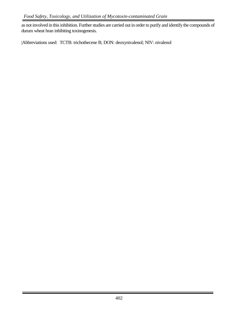as not involved in this inhibition. Further studies are carried out in order to purify and identify the compounds of durum wheat bran inhibiting toxinogenesis.

|Abbreviations used: TCTB: trichothecene B; DON: deoxynivalenol; NIV: nivalenol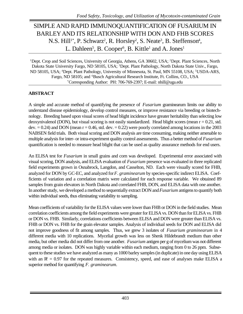# SIMPLE AND RAPID IMMUNOQUANTIFICATION OF FUSARIUM IN BARLEYAND ITS RELATIONSHIP WITH DON AND FHB SCORES N.S. Hill<sup>1\*</sup>, P. Schwarz<sup>2</sup>, R. Horsley<sup>2</sup>, S. Neate<sup>3</sup>, B. Steffenson<sup>4</sup>, L. Dahleen<sup>5</sup>, B. Cooper<sup>6</sup>, B. Kittle<sup>1</sup> and A. Jones<sup>1</sup>

<sup>1</sup>Dept. Crop and Soil Sciences, University of Georgia, Athens, GA 30602, USA; <sup>2</sup>Dept. Plant Sciences, North Dakota State University Fargo, ND 58105, USA; <sup>3</sup>Dept. Plant Pathology, North Dakota State Univ., Fargo, ND 58105, USA; <sup>4</sup>Dept. Plant Pathology, University of Minnesota, St. Paul, MN 55108, USA; <sup>5</sup>USDA-ARS, Fargo, ND 58105; and <sup>6</sup>Busch Agricultural Research Institute, Ft. Collins, CO., USA \*Corresponding Author: PH: 706-769-2397; E-mail: nhill@uga.edu

### **ABSTRACT**

A simple and accurate method of quantifying the presence of *Fusarium* graminearum limits our ability to understand disease epidemiology, develop control measures, or improve resistance via breeding or biotechnology. Breeding based upon visual scores of head blight incidence have greater heritability than selecting low deoxynivalenol (DON), but visual scoring is not easily standardized. Head blight scores (mean  $r = 0.21$ , std. dev.  $= 0.24$ ) and DON (mean  $r = 0.46$ , std. dev.  $= 0.22$ ) were poorly correlated among locations in the 2003 NABSEN field trials. Both visual scoring and DON analysis are time consuming, making neither amenable to multiple analysis for inter- or intra-experiment quality control assessments. Thus a better method of *Fusarium* quantification is needed to measure head blight that can be used as quality assurance methods for end users.

An ELISA test for *Fusarium* in small grains and corn was developed. Experimental error associated with visual scoring, DON analysis, and ELISA evaluation of *Fusarium* presence was evaluated in three replicated field experiments grown in Osnabrock, Langdon, and Casselton, ND. Each were visually scored for FHB, analyzed for DON by GC-EC, and analyzed for *F*. *graminearum* by species-specific indirect ELISA. Coefficients of variation and a correlation matrix were calculated for each response variable. We obtained 89 samples from grain elevators in North Dakota and correlated FHB, DON, and ELISA data with one another. In another study, we developed a method to sequentially extract DON and *Fusarium* antigens to quantify both within individual seeds, thus eliminating variability to sampling.

Mean coefficients of variability for the ELISA values were lower than FHB or DON in the field studies. Mean correlation coefficients among the field experiments were greater for ELISA vs. DON than for ELISA vs. FHB or DON vs. FHB. Similarly, correlations coefficients between ELISA and DON were greater than ELISA vs. FHB or DON vs. FHB for the grain elevator samples. Analysis of individual seeds for DON and ELISA did not improve goodness of fit among samples. Thus, we grew 3 isolates of *Fusarium graminearum* in 4 different media with 10 replications. Mycelial growth was less on Shenk Hildebrandt medium than other media, but other media did not differ from one another. *Fusarium* antigen per g of mycelium was not different among media or isolates. DON was highly variable within each medium, ranging from 0 to 26 ppm. Subsequent to these studies we have analyzed as many as 1000 barley samples (in duplicate) in one day using ELISA with an  $\mathbb{R} = 0.97$  for the repeated measures. Consistency, speed, and ease of analyses make ELISA a superior method for quantifying *F. graminearum*.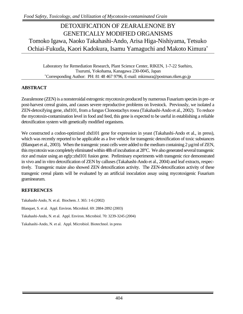# DETOXIFICATION OF ZEARALENONE BY GENETICALLY MODIFIED ORGANISMS Tomoko Igawa, Naoko Takahashi-Ando, Arisa Higa-Nishiyama, Tetsuko Ochiai-Fukuda, Kaori Kadokura, Isamu Yamaguchi and Makoto Kimura\*

Laboratory for Remediation Research, Plant Science Center, RIKEN, 1-7-22 Suehiro, Tsurumi, Yokohama, Kanagawa 230-0045, Japan \*Corresponding Author: PH: 81 48 467 9796, E-mail: mkimura@postman.riken.go.jp

#### **ABSTRACT**

Zearalenone (ZEN) is a nonsteroidal estrogenic mycotoxin produced by numerous Fusarium species in pre- or post-harvest cereal grains, and causes severe reproductive problems on livestock. Previously, we isolated a ZEN-detoxifying gene, zhd101, from a fungus Clonostachys rosea (Takahashi-Ando et al., 2002). To reduce the mycotoxin-contamination level in food and feed, this gene is expected to be useful in establishing a reliable detoxification system with genetically modified organisms.

We constructed a codon-optimized zhd101 gene for expression in yeast (Takahashi-Ando et al., in press), which was recently reported to be applicable as a live vehicle for transgenic detoxification of toxic substances (Blanquet et al., 2003). When the transgenic yeast cells were added to the medium containing  $2 \mu g/ml$  of ZEN, this mycotoxin was completely eliminated within 48h of incubation at 28°C. We also generated several transgenic rice and maize using an egfp::zhd101 fusion gene. Preliminary experiments with transgenic rice demonstrated in vivo and in vitro detoxification of ZEN by calluses (Takahashi-Ando et al., 2004) and leaf extracts, respectively. Transgenic maize also showed ZEN detoxification activity. The ZEN-detoxification activity of these transgenic cereal plants will be evaluated by an artificial inoculation assay using mycotoxigenic Fusarium graminearum.

#### **REFERENCES**

Takahashi-Ando, N. et al. Biochem. J. 365: 1-6 (2002) Blanquet, S. et al. Appl. Environ. Microbiol. 69: 2884-2892 (2003) Takahashi-Ando, N. et al. Appl. Environ. Microbiol. 70: 3239-3245 (2004) Takahashi-Ando, N. et al. Appl. Microbiol. Biotechnol. in press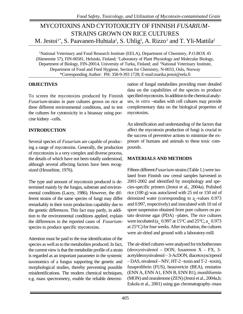# MYCOTOXINS AND CYTOTOXICITY OF FINNISH *FUSARIUM*-STRAINS GROWN ON RICE CULTURES M. Jestoi<sup>1\*</sup>, S. Paavanen-Huhtala<sup>2</sup>, S. Uhlig<sup>3</sup>, A. Rizzo<sup>1</sup> and T. Yli-Mattila<sup>2</sup>

<sup>1</sup>National Veterinary and Food Research Institute (EELA), Department of Chemistry, P.O.BOX 45 (Hämeentie 57), FIN-00581, Helsinki, Finland; <sup>2</sup>Laboratory of Plant Physiology and Molecular Biology, Department of Biology, FIN-20014, University of Turku, Finland; and <sup>3</sup>National Veterinary Institute, Department of Food and Feed Hygiene, Section for Chemistry, N-0033, Oslo, Norway \*Corresponding Author: PH: 358-9-393 1728; E-mail:marika.jestoi@eela.fi

#### **OBJECTIVES**

To screen the mycotoxins produced by Finnish *Fusarium*-strains in pure cultures grown on rice at three different environmental conditions, and to test the cultures for cytotoxicity in a bioassay using porcine kidney –cells.

#### **INTRODUCTION**

Several species of *Fusarium* are capable of producing a range of mycotoxins. Generally, the production of mycotoxins is a very complex and diverse process, the details of which have not been totally understood, although several affecting factors have been recognized (Hesseltine, 1976).

The type and amount of mycotoxin produced is determined mainly by the fungus, substrate and environmental conditions (Lacey, 1986). However, the different strains of the same species of fungi may differ remarkably in their toxin production capability due to the genetic differences. This fact may partly, in addition to the environmental conditions applied, explain the differences in the reported cases of *Fusarium*species to produce specific mycotoxins.

Attention must be paid to the true identification of the species as well as to the metabolites produced. In fact, the current view is that the metabolite profile of a strain is regarded as an important parameter in the systemic taxonomics of a fungus supporting the genetic and morphological studies, thereby preventing possible misidentifications. The modern chemical techniques, e.g. mass spectrometry, enable the reliable determination of fungal metabolites providing more detailed data on the capabilities of the species to produce specified mycotoxins. In addition to the chemical analyses, *in vitro –*studies with cell cultures may provide complementary data on the biological properties of mycotoxins.

An identification and understanding of the factors that affect the mycotoxin production of fungi is crucial to the success of preventive actions to minimize the exposure of humans and animals to these toxic compounds.

#### **MATERIALS AND METHODS**

Fifteen different *Fusarium*-strains (Table 1.) were isolated from Finnish raw cereal samples harvested in 2001-2002 and identified by morphology and species-specific primers (Jestoi et al., 2004a). Polished rice (100 g) was autoclaved with 25 ml or 150 ml of deionized water (corresponding to  $a_{\rm w}$ -values 0.973 and 0.997, respectively) and inoculated with 10 ml of spore suspension obtained from pure cultures on potato dextrose agar (PDA) –plates. The rice cultures were incubated ( $a_w$  0.997 at 15°C and 25°C;  $a_w$  0.973 at 25°C) for four weeks. After incubation, the cultures were air-dried and ground with a laboratory-mill.

The air-dried cultures were analysed for trichothecenes (deoxynivalenol – DON, fusarenon  $X - FX$ , 3acetyldeoxynivalenol – 3-AcDON, diacetoxyscirpenol – DAS, nivalenol – NIV, HT-2 –toxin and T-2 –toxin), fusaproliferin (FUS), beauvericin (BEA), enniatins (ENN A, ENN A1, ENN B, ENN B1), moniliformin (MON) and zearalenone (ZEN) (Jestoi et al., 2004a,b; Eskola et al., 2001) using gas chromatography–mass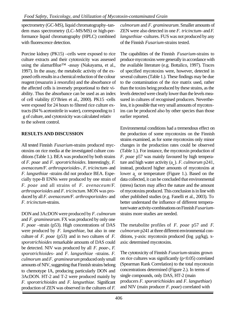spectrometry (GC-MS), liquid chromatography–tandem mass spectrometry (LC–MS/MS) or high-performance liquid chromatography (HPLC) combined with fluorescence detection.

Porcine kidney (PK15) –cells were exposed to rice culture extracts and their cytotoxicity was assessed using the alamarBlue™ -assay (Nakayama, et al., 1997). In the assay, the metabolic activity of the exposed cells results in a chemical reduction of the colour reagent (resazurin à resorufin) and the absorbance of the affected cells is inversely proportional to their viability. Thus the absorbance can be used as an index of cell viability (O'Brien et al., 2000). PK15 -cells were exposed for 24 hours to filtered rice culture extracts (84 % acetonitrile in water), corresponding to 1 g of culture, and cytotoxicity was calculated relativ to the solvent control.

### **RESULTS AND DISCUSSION**

All tested Finnish *Fusarium*-strains produced mycotoxins on rice media at the investigated culture conditions (Table 1.). BEA was produced by both strains of *F. poae* and *F. sporotrichioides*. Interestingly, *F. avenaceum/F. arthrosporioides-, F. tricinctum-* and *F. langsethiae* -strains did not produce BEA. Especially type-B ENNs were produced by one strain of *F. poae* and all strains of *F. avenaceum*/*F. arthrosporioides* and *F. tricinctum*. MON was produced by all *F. avenaceum/F. arthrosporioides-* and *F. tricinctum-*strains.

DON and 3AcDON were produced by *F. culmorum* and *F. graminearum*. FX was produced by only one *F. poae* –strain (p53). High concentrations of DAS were produced by *F. langsethiae*, but also in one culture of *F. poae* (p53) and in two cultures of *F. sporotrichioides* remarkable amounts of DAS could be detected. NIV was produced by all *F. poae-*, *F. sporotrichioides-* and *F. langsethiae* -strains. *F. culmorum* and *F. graminearum* produced only small amounts of NIV, suggesting that Finnish strains belong to chemotype IA, producing particularly DON and 3AcDON. HT-2 and T-2 were produced mainly by *F. sporotrichioides* and *F. langsethiae.* Significant production of ZEN was observed in the cultures of *F.*

*culmorum* and *F. graminearum*. Smaller amounts of ZEN were also detected in one *F. tricinctum-* and *F. langsethiae* -cultures. FUS was not produced by any of the Finnish *Fusarium*-strains tested.

The capabilities of the Finnish *Fusarium*-strains to produce mycotoxins were generally in accordance with the available literature (e.g. Bottalico, 1997). Traces of specified mycotoxins were, however, detected in several cultures (Table 1.). These findings may be due to the contamination of the rice matrix used, rather than the toxins being produced by these strains, as the levels detected were clearly lower than the levels measured in cultures of recognised producers. Nevertheless, it is possible that very small amounts of mycotoxins can be produced also by other species than those earlier reported.

Environmental conditions had a tremendous effect on the production of some mycotoxins on the Finnish strains examined, as for some mycotoxins only minor changes in the production rates could be observed (Table 1.). For instance, the mycotoxin production of *F. poae* p57 was mainly favoured by high temperature and high water activity  $(a_w)$ . *F. culmorum*  $p241$ , instead, produced higher amounts of mycotoxins at lower  $a_{w}$  or temperature (Figure 1.). Based on the data collected, it can be concluded that environmental (stress) factors may affect the nature and the amount of mycotoxins produced. This conclusion is in line with other published studies (e.g. Fanelli et al., 2003). To better understand the influence of different temperature/water activity-combinations on Finnish *Fusarium*strains more studies are needed.

The metabolite profiles of *F. poae* p57 and *F. culmorum* p241 at three different environmental conditions, y-axis: mycotoxin produced (log µg/kg), xaxis: determined mycotoxins.

The cytotoxicity of Finnish *Fusarium*-strains grown on rice cultures was significantly  $(p<0.05)$  correlated (Spearman Rank Correlation) to the total mycotoxin concentrations determined (Figure 2.). In terms of single compounds, only DAS, HT-2 (main producers *F. sporotrichioides* and *F. langsethiae*) and NIV (main producer *F. poae*) correlated with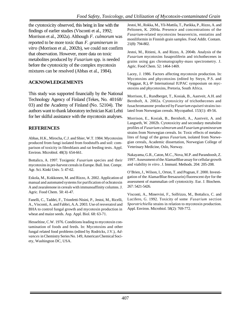the cytotoxicity observed, this being in line with the findings of earlier studies (Visconti et al., 1992; Morrison et al., 2002a). Although *F. culmorum* was reported to be more toxic than *F. graminerum in vitro* (Morrison et al., 2002b), we could not confirm that observation. However, more data on toxic metabolites produced by *Fusarium* spp. is needed before the cytotoxicity of the complex mycotoxin mixtures can be resolved (Abbas et al., 1984).

#### **ACKNOWLEDGEMENTS**

This study was supported financially by the National Technology Agency of Finland (Tekes, No. 40168/ 03) and the Academy of Finland (No. 52104). The authors want to thank laboratory technician Kati Lehti for her skilful assistance with the mycotoxin analyses.

#### **REFERENCES**

Abbas, H.K., Mirocha, C.J. and Shier, W.T. 1984. Mycotoxins produced from fungi isolated from foodstuffs and soil: comparison of toxicity in fibroblasts and rat feeding tests. Appl. Environ. Microbiol. 48(3): 654-661.

Bottalico, A. 1997. Toxigenic *Fusarium* species and their mycotoxins in pre-harvest cereals in Europe. Bull. Inst. Compr. Agr. Sci. Kinki Univ. 5: 47-62.

Eskola, M., Kokkonen, M. and Rizzo, A. 2002. Application of manual and automated systems for purification of ochratoxin A and zearalenone in cereals with immunoaffinity columns. J. Agric. Food Chem. 50: 41-47.

Fanelli, C., Taddei, F., Trionfetti-Nisini, P., Jestoi, M., Ricelli, A., Visconti, A. and Fabbri, A.A. 2003. Use of resveratrol and BHA to control fungal growth and mycotoxin production in wheat and maize seeds. Asp. Appl. Biol. 68: 63-71.

Hesseltine, C.W. 1976. Conditions leading to mycotoxin contamination of foods and feeds. In: Mycotoxins and other fungal related food problems (edited by Rodricks, J.V.), *Advances* in Chemistry Series No. 149, American Chemical Society, Washington DC, USA.

Jestoi, M., Rokka, M., Yli-Mattila, T., Parikka, P., Rizzo, A. and Peltonen, K. 2004a. Presence and concentrations of the *Fusarium*-related mycotoxins beauvericin, enniatins and moniliformin in Finnish grain samples. Food Addit. Contam. 21(8): 794-802.

Jestoi, M., Ritieni, A. and Rizzo, A. 2004b. Analysis of the *Fusarium* mycotoxins fusaproliferin and trichothecenes in grains using gas chromatography-mass spectrometry. J. Agric. Food Chem. 52: 1464-1469.

Lacey, J. 1986. Factors affecting mycotoxin production. In: Mycotoxins and phycotoxins (edited by Steyn, P.S. and Vleggaar, R.),  $6<sup>th</sup>$  International IUPAC symposium on mycotoxins and phycotoxins, Pretoria, South Africa.

Morrison, E., Rundberget, T., Kosiak, B., Aastveit, A.H. and Bernhoft, A. 2002a. Cytotoxicity of trichothecenes and fusachromanone produced by *Fusarium equiseti* strains isolated from Norwegian cereals. Mycopathol. 153(1): 49-56.

Morrison, E., Kosiak, B., Bernhoft, A., Aastveit, A. and Langseth, W. 2002b. Cytotoxicity and secondary metabolite profiles of *Fusarium culmorum* and *Fusarium graminearum* strains from Norwegian cereals. In: Toxic effects of metabolites of fungi of the genus *Fusarium*, isolated from Norwegian cereals, Academic dissertation, Norwegian College of Veterinary Medicine, Oslo, Norway.

Nakayama, G.R., Caton, M.C., Nova, M.P. and Parandoosh, Z. 1997. Assessment of the AlamarBlue assay for cellular growth and viability *in vitro*. J. Immunl. Methods. 204: 205-208.

O'Brien, J., Wilson, I., Orton, T. and Pognan, F. 2000. Investigation of the AlamarBlue 8resazurin) fluorescent dye for the assessment of mammalian cell cytotoxicity. Eur. J. Biochem. 267: 5421-5426.

Visconti, A., Minervini, F., Solfrizzo, M., Bottalico, C. and Lucifero, G. 1992. Toxicity of some *Fusarium* section *Sporotrichiella* strains in relation to mycotoxin production. Appl. Environ. Microbiol. 58(2): 769-772.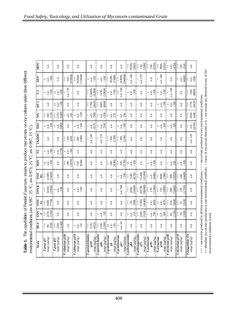Table 1. The capabilities of Finnish Fusarium-strains to produce mycotoxins on rice cultures under three different **Table 1.** The capabilities of Finnish *Fusarium* - strains to produce mycotoxins on rice cultures under three different environmental conditions (aw 0.997, 25 °C; aw 0.997, 15 °C). environmental conditions (aw 0.997, 25 °C; aw 0.973, 25 °C; aw 0.997, 15 °C).

| <b>MON</b>                  | n.d.                                                                        | n.d.                                                     | n.d.                                       | n.d.                                                                                                                                                                                   | n.d.                                        | n.d.                                                         | n.d.                                   | n.d.                                             | $+ + +$<br>39200-<br>59650                                           | 120-<br>22800<br>$\ddagger$                        | 250-<br>45550<br>$\ddagger$                                  | 91650<br>3800-<br>$\ddagger$          | 14700<br>nd.<br>$\ddagger$         | 310-<br>2140<br>$\ddagger$                                  | n.d.                                      |
|-----------------------------|-----------------------------------------------------------------------------|----------------------------------------------------------|--------------------------------------------|----------------------------------------------------------------------------------------------------------------------------------------------------------------------------------------|---------------------------------------------|--------------------------------------------------------------|----------------------------------------|--------------------------------------------------|----------------------------------------------------------------------|----------------------------------------------------|--------------------------------------------------------------|---------------------------------------|------------------------------------|-------------------------------------------------------------|-------------------------------------------|
|                             |                                                                             |                                                          |                                            |                                                                                                                                                                                        |                                             |                                                              |                                        |                                                  |                                                                      |                                                    |                                                              |                                       |                                    |                                                             |                                           |
| ZEN                         | $\begin{array}{c}\n\text{#} \\ \text{#} \\ \text{#} \\ \hline\n\end{array}$ | n.d.                                                     | 2618000<br>320-<br>$\ddagger$              | 1726000<br>262000-<br>$\begin{array}{c} + \\ + \\ + \end{array}$                                                                                                                       | 500<br>$^{\rm nd-}$<br>$\ddot{+}$           | $<100$<br>$^{\rm nd-}$<br>$\bf +$                            | 38200-<br>174000<br>$\ddagger$         | 1944000<br>343000-<br>$\ddagger$                 | $1. d - 340$                                                         | n.d.-270                                           | n.d.                                                         | $n.d.-100$                            | n.d.                               | 34000<br>$nd -$<br>$\ddagger$                               | n.d.<br>1990<br>$\ddagger$                |
| $T-2$                       | $rac{100}{ }$<br>$\pm$ d.                                                   | n.d.<br>$rac{100}{ }$<br>$\stackrel{+}{+}$               | n.d.-150                                   | n.d.                                                                                                                                                                                   | 124000-<br>182000<br>$\stackrel{+}{+}$      | 219000<br>5130-<br>$\ddagger$                                | 500<br>nd.<br>$\ddot{+}$               | n.d.-250<br>$\ddagger$                           | 500<br>n.d.<br>$\pm$                                                 | n.d.                                               | $\frac{nd}{100}$<br>$\pm$                                    | $<100$<br>$nd -$<br>$\bf +$           | n.d.-260                           | n.d.                                                        | $100-$<br>49000<br>$\ddagger$             |
| $HT-2$                      | n.d.                                                                        | $rac{100}{ }$<br>n.d.-<br>$\ddagger$                     | n.d.                                       | n.d.                                                                                                                                                                                   | 24650<br>$+100$                             | 30000<br>4660-<br>$\begin{array}{c} + \\ + \\ + \end{array}$ | n.d.                                   | d.                                               | n.d.                                                                 | n.d.                                               | n.d.                                                         | $<100$<br>n.d.-<br>$\pm\vert$         | $<100$<br>n.d.<br>$+$              | n.d.                                                        | $+770$<br>10630                           |
| $\overline{\mathbf{z}}$     | $\frac{1}{4}$ $\frac{4}{8}$ $\frac{5}{8}$                                   | 35000<br>2370-<br>$\ddagger$                             | $^{\rm nd.-}$ 320<br>$^{+}$                | $\underset{<100}{\text{nd.-}}$<br>$+$                                                                                                                                                  | nd.<br>7900<br>$^{+}$                       | 1950<br>$^{\rm nd.-}$<br>$\ddagger$                          | $\frac{1}{270}$<br>$\ddagger$          | $\frac{d}{250}$<br>$^{+}$                        | n.d.                                                                 | n.d                                                | n.d.                                                         | n.d.                                  | n.d.                               | $^{\rm nd}$                                                 | $+830$<br>4440                            |
| DAS                         | 500<br>$+$ $\frac{1}{4}$                                                    | 10800<br>n.d.-<br>$\ddagger$                             | n.d.                                       | $\begin{array}{c}\n\text{#} \\ \text{#} \\ \text{#} \\ \hline\n\end{array}$                                                                                                            | nd.<br>6570<br>$^{+}$                       | n.d.-<br>7590<br>$\ddagger$                                  | n.d.                                   | 500<br>nd.<br>$+1$                               | n.d.                                                                 | n.d.                                               | n.d.                                                         | $<100$<br>n.d.-<br>$+$                | 500<br>nd.<br>$+$                  | n.d.                                                        | n.d.-<br>$60700$<br>$\ddagger$            |
| 3AcDON                      | n.d.                                                                        | n.d.                                                     | $rac{1}{4}$ $rac{6}{5}$<br>3500            | 12800<br>$\ddagger$<br>260-                                                                                                                                                            | n.d.-240                                    | n.d.-110                                                     | 57300<br>$_{+}^{\pm}$ $_{\odot}^{\pm}$ | 12100<br>$100 -$<br>$\ddagger$                   | n.d.                                                                 | n.d.                                               | $^{\rm n.d.}$                                                | n.d.                                  | n.d.                               | n.d.                                                        | n.d.-120                                  |
| $\overline{\textbf{K}}$     | $rac{100}{ }$                                                               | 11700<br>$nd -$<br>$\ddagger$                            | $^{\rm nd.-}$<br>$\approx 100$<br>$\!+\! $ | n.d.                                                                                                                                                                                   | n.d.                                        | n.d.                                                         | n.d.                                   | n.d.                                             | n.d.                                                                 | n.d.                                               | n.d.                                                         | n.d.                                  | n.d.                               | n.d.                                                        | n.d.                                      |
| <b>DON</b>                  | $\begin{array}{c}\n\text{#} \\ \text{#} \\ \text{#} \\ \hline\n\end{array}$ | n.d.                                                     | 118700<br>$^{+}_{+}$ \$                    | 550-<br>36500<br>$\overset{+}{+}$                                                                                                                                                      | n.d.                                        | n.d.                                                         | 26300<br>$rac{1}{2}$ $rac{1}{2}$       | 57700<br>$\ddagger$<br>220-                      | $rac{100}{100}$<br>n.d.-<br>$\begin{array}{c} + \ + \ 1 \end{array}$ | n.d.                                               | nd.<br>-100<br>$\pm$                                         | n.d.                                  | nd.<br>230<br>$^{+}$               | $\underset{<100}{\text{nd.-}}$<br>$+$                       | n.d.                                      |
| $\frac{2}{5}$ $\frac{1}{1}$ | 254900<br>41400-<br>$+$                                                     | n.d.                                                     | n.d.                                       | n.d.                                                                                                                                                                                   | n.d.                                        | n.d.                                                         | n.d.                                   | $rac{100}{ }$<br>n.d.-<br>$\pm$                  | 46700<br>1340-<br>$+$<br>$+$                                         | 115400-<br>155000<br>$\ddagger$                    | 50400<br>nd.<br>$\ddagger$                                   | 9600-<br>13800<br>$\ddagger$          | 339500<br>800-<br>$+$              | 64400<br>$\begin{array}{c} + \\ + \\ + \end{array}$<br>240- | n.d.                                      |
| <b>ENN B</b>                | 235000<br>$+100$                                                            | n.d.- $<\!100$<br>$\pm$                                  | n.d.                                       | $\frac{1}{2}$ d.e.<br>$+$                                                                                                                                                              | n.d.                                        | n.d.                                                         | n.d.                                   | n.d.-500                                         | 226400<br>$+ +$<br>2890-                                             | 900000<br>183700-<br>$\ddagger$                    | 270-<br>213400<br>$\begin{array}{c} + \\ + \\ + \end{array}$ | 30800<br>$\overset{+}{+}$<br>$110-$   | 724900<br>$600-$<br>$+$            | 227200<br>$\overset{+}{+}$<br>170-                          | n.d.                                      |
| <b>ENN</b><br>AI            | 8200-<br>$\ddagger$                                                         | n.d.                                                     | n.d.                                       | n.d.                                                                                                                                                                                   | n.d.                                        | n.d.                                                         | n.d.                                   | n.d.                                             | 3990<br>$\stackrel{+}{\downarrow} \stackrel{+}{\diamond}$            | 44400<br>13500-<br>$\overset{+}{+}$                | n.d.-<br>4830<br>$^{+}$                                      | nd-<br>4970<br>$\ddagger$             | 70600<br>410-<br>$\overset{+}{+}$  | 52200<br>$\overset{+}{+}$<br>$70-$                          | n.d.                                      |
| ENN<br>⋖                    | 1200<br><b>1470-</b><br>$\ddagger$                                          | n.d.                                                     | n.d.                                       | n.d.                                                                                                                                                                                   | n.d.                                        | $\pm$ $\frac{1}{2}$<br>$\sqrt{50}$                           | n.d.                                   | n.d.                                             | $rac{1}{2}$<br>310                                                   | 25100<br>2280-<br>$\ddagger$                       | n.d.-<br>700<br>$^{+}$                                       | $^{\rm nd.-}_{\rm 280}$<br>$\ddagger$ | 11100<br>$\overset{+}{+}$<br>$60-$ | 1900<br>$\stackrel{+}{+}$<br>$50 -$                         | n.d.                                      |
| BEA                         | 3930<br>$rac{1}{2}$ $\frac{1}{2}$                                           | 131400<br>2540-<br>$\begin{array}{c} + \\ + \end{array}$ | n.d.                                       | $\stackrel{+}{\phantom{}_{1}}\,\stackrel{+}{\phantom{}_{1}}\,\stackrel{+}{\phantom{}_{1}}\,\stackrel{+}{\phantom{}_{1}}\,\stackrel{+}{\phantom{}_{1}}\,\stackrel{+}{\phantom{}_{1}}\,$ | 4310)<br>$+50$                              | $+0.00$<br>1500)                                             | n.d.-<br>150<br>$\sharp$               | n.d.-50<br>$\pm$                                 | n.d.                                                                 | n.d.                                               | n.d                                                          | n.d.                                  | n.d.                               | n.d.                                                        | n.d.                                      |
| Strain                      | range $(\mu g / kg)$<br>F.poae p57                                          | range (µg/kg)<br>F.poae p53                              | F.culmorum p241<br>range (µg/kg)           | $F$ .culmorum $p251$<br>range ( $\mu$ g/kg)                                                                                                                                            | F.sporotrichioides<br>range (µg/kg)<br>p139 | F.sporotrichioides<br>range (µg/kg)<br>$\frac{1}{2}$         | F.graminearum<br>range (µg/kg)<br>۱Ś   | F.graminearum<br>range (µg/kg)<br>$\overline{a}$ | <b>F</b> .arthrosporioides<br>range (µg/kg)<br>$^{84}$               | <b>F</b> .arthrosporioides<br>range (µg/kg)<br>p75 | F.avenaceum<br>range $(\mu g / kg)$<br>p191                  | range (µg/kg)<br>F.avenaceum<br>p228  | F.tricinctum p105<br>range (µg/kg) | F.tricinctum p113<br>range $(\mu g/\bar{kg})$               | F.langsethiae 113<br>range ( $\mu g/kg$ ) |

 $+++$  = mycotoxin produced in all three environmental conditions;  $++$  = mycotoxin produced in two environmental conditions,<br>+ = abundant mycotoxin production in one environmental condition; = traces of mycotoxin detected,  $++$  = mycotoxin produced in all three environmental conditions;  $++$  = mycotoxin produced in two environmental conditions,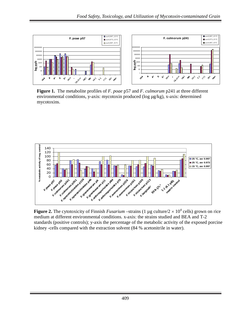

**Figure 1.** The metabolite profiles of *F. poae* p57 and *F. culmorum* p241 at three different environmental conditions, y-axis: mycotoxin produced (log µg/kg), x-axis: determined mycotoxins.



**Figure 2.** The cytotoxicity of Finnish *Fusarium* –strains (1 µg culture/ $2 \times 10^4$  cells) grown on rice medium at different environmental conditions. x-axis: the strains studied and BEA and T-2 standards (positive controls); y-axis the percentage of the metabolic activity of the exposed porcine kidney -cells compared with the extraction solvent (84 % acetonitrile in water).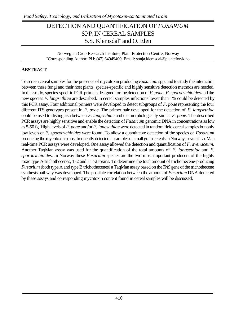# DETECTION AND QUANTIFICATION OF *FUSARIUM* SPP. IN CEREAL SAMPLES S.S. Klemsdal\* and O. Elen

Norwegian Crop Research Institute, Plant Protection Centre, Norway \*Corresponding Author: PH: (47) 64949400, Email: sonja.klemsdal@planteforsk.no

#### **ABSTRACT**

To screen cereal samples for the presence of mycotoxin producing *Fusarium* spp. and to study the interaction between these fungi and their host plants, species-specific and highly sensitive detection methods are needed. In this study, species-specific PCR-primers designed for the detection of *F. poae*, *F. sporotrichioides* and the new species *F. langsethiae* are described. In cereal samples infections lower than 1% could be detected by this PCR assay. Four additional primers were developed to detect subgroups of *F. poae* representing the four different ITS genotypes present in *F. poae*. The primer pair developed for the detection of *F. langsethiae* could be used to distinguish between *F. langsethiae* and the morphologically similar *F. poae*. The described PCR assays are highly sensitive and enable the detection of *Fusarium* genomic DNA in concentrations as low as 5-50 fg. High levels of *F. poae* and/or *F. langsethiae* were detected in random field cereal samples but only low levels of *F. sporotrichioides* were found. To allow a quantitative detection of the species of *Fusarium* producing the mycotoxins most frequently detected in samples of small grain cereals in Norway, several TaqMan real-time PCR assays were developed. One assay allowed the detection and quantification of *F. avenaceum*. Another TaqMan assay was used for the quantification of the total amounts of *F. langsethiae* and *F. sporotrichioides*. In Norway these *Fusarium* species are the two most important producers of the highly toxic type A trichothecenes, T-2 and HT-2 toxins. To determine the total amount of trichothecene-producing *Fusarium* (both type A and type B trichothecenes) a TaqMan assay based on the *Tri5* gene of the trichothecene synthesis pathway was developed. The possible correlation between the amount of *Fusarium* DNA detected by these assays and corresponding mycotoxin content found in cereal samples will be discussed.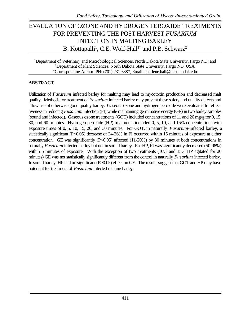# EVALUATION OF OZONE AND HYDROGEN PEROXIDE TREATMENTS FOR PREVENTING THE POST-HARVEST *FUSARIUM* INFECTION IN MALTING BARLEY B. Kottapalli<sup>1</sup>, C.E. Wolf-Hall<sup>1\*</sup> and P.B. Schwarz<sup>2</sup>

<sup>1</sup>Department of Veterinary and Microbiological Sciences, North Dakota State University, Fargo ND; and <sup>2</sup>Department of Plant Sciences, North Dakota State University, Fargo ND, USA \*Corresponding Author: PH: (701) 231-6387, Email: charlene.hall@ndsu.nodak.edu

#### **ABSTRACT**

Utilization of *Fusarium* infected barley for malting may lead to mycotoxin production and decreased malt quality. Methods for treatment of *Fusarium* infected barley may prevent these safety and quality defects and allow use of otherwise good quality barley. Gaseous ozone and hydrogen peroxide were evaluated for effectiveness in reducing *Fusarium* infection (FI) while maintaining germinative energy (GE) in two barley samples (sound and infected). Gaseous ozone treatments (GOT) included concentrations of 11 and 26 mg/g for 0, 15, 30, and 60 minutes. Hydrogen peroxide (HP) treatments included 0, 5, 10, and 15% concentrations with exposure times of 0, 5, 10, 15, 20, and 30 minutes. For GOT, in naturally *Fusarium*-infected barley, a statistically significant (P<0.05) decrease of 24-36% in FI occurred within 15 minutes of exposure at either concentration. GE was significantly (P<0.05) affected (11-20%) by 30 minutes at both concentrations in naturally *Fusarium* infected barley but not in sound barley. For HP, FI was significantly decreased (50-98%) within 5 minutes of exposure. With the exception of two treatments (10% and 15% HP agitated for 20 minutes) GE was not statistically significantly different from the control in naturally *Fusarium* infected barley. In sound barley, HP had no significant (P>0.05) effect on GE. The results suggest that GOT and HP may have potential for treatment of *Fusarium* infected malting barley.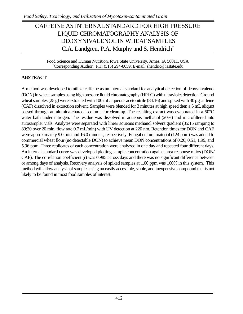# CAFFEINE AS INTERNAL STANDARD FOR HIGH PRESSURE LIQUID CHROMATOGRAPHY ANALYSIS OF DEOXYNIVALENOL IN WHEAT SAMPLES C.A. Landgren, P.A. Murphy and S. Hendrich<sup>\*</sup>

Food Science and Human Nutrition, Iowa State University, Ames, IA 50011, USA \*Corresponding Author: PH: (515) 294-8059; E-mail: shendric@iastate.edu

### **ABSTRACT**

A method was developed to utilize caffeine as an internal standard for analytical detection of deoxynivalenol (DON) in wheat samples using high pressure liquid chromatography (HPLC) with ultraviolet detection. Ground wheat samples (25 g) were extracted with 100 mL aqueous acetonitrile (84:16) and spiked with  $30 \mu$ g caffeine (CAF) dissolved in extraction solvent. Samples were blended for 3 minutes at high speed then a 5 mL aliquot passed through an alumina-charcoal column for clean-up. The resulting extract was evaporated in a 50°C water bath under nitrogen. The residue was dissolved in aqueous methanol (20%) and microfiltered into autosampler vials. Analytes were separated with linear aqueous methanol solvent gradient (85:15 ramping to 80:20 over 20 min, flow rate 0.7 mL/min) with UV detection at 220 nm. Retention times for DON and CAF were approximately 9.0 min and 16.0 minutes, respectively. Fungal culture material (124 ppm) was added to commercial wheat flour (no detectable DON) to achieve mean DON concentrations of 0.26, 0.51, 1.99, and 5.96 ppm. Three replicates of each concentration were analyzed in one day and repeated four different days. An internal standard curve was developed plotting sample concentration against area response ratios (DON/ CAF). The correlation coefficient (r) was 0.985 across days and there was no significant difference between or among days of analysis. Recovery analysis of spiked samples at 1.00 ppm was 100% in this system. This method will allow analysis of samples using an easily accessible, stable, and inexpensive compound that is not likely to be found in most food samples of interest.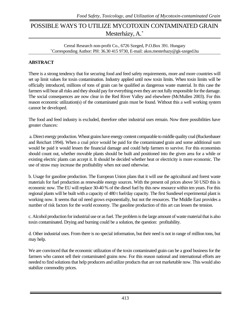# POSSIBLE WAYS TO UTILIZE MYCOTOXIN CONTAMINATED GRAIN Mesterházy, A.\*

Cereal Research non-profit Co., 6726 Szeged, P.O.Box 391. Hungary \*Corresponding Author: PH: 36.30 415 9730, E-mail: akos.mesterhazy@gk-szeged.hu

### **ABSTRACT**

There is a strong tendency that for securing food and feed safety requirements, more and more countries will set up limit values for toxin contamination. Industry applied until now toxin limits. When toxin limits will be officially introduced, millions of tons of grain can be qualified as dangerous waste material. In this case the farmers will bear all risks and they should pay for everything even they are not fully responsible for the damage. The social consequences are now clear in the Red River Valley and elsewhere (McMullen 2003). For this reason economic utilization(s) of the contaminated grain must be found. Without this a well working system cannot be developed.

The food and feed industry is excluded, therefore other industrial uses remain. Now three possibilities have greater chances:

 a. Direct energy production. Wheat grains have energy content comparable to middle quality coal (Ruckenbauer and Reichart 1994). When a coal price would be paid for the contaminated grain and some additional sum would be paid it would lessen the financial damage and could help farmers to survive. For this economists should count out, whether movable plants should be built and positioned into the given area for a while or existing electric plants can accept it. It should be decided whether heat or electricity is more economic. The use of straw may increase the profitability when not used otherwise.

b. Usage for gasoline production. The European Union plans that it will use the agricultural and forest waste materials for fuel production as renewable energy sources. With the present oil prices above 50 USD this is economic now. The EU will replace 30-40 % of the diesel fuel by this new resource within ten years. For this regional plants will be built with a capacity of 480 t fuel/day capacity. The first Sundiesel experimental plant is working now. It seems that oil need grows exponentially, but not the resources. The Middle East provides a number of risk factors for the world economy. The gasoline production of this art can lessen the tension.

c. Alcohol production for industrial use or as fuel. The problem is the large amount of waste material that is also toxin contaminated. Drying and burning could be a solution, the question: profitability.

d. Other industrial uses. From there is no special information, but their need is not in range of million tons, but may help.

We are convinced that the economic utilization of the toxin contaminated grain can be a good business for the farmers who cannot sell their contaminated grains now. For this reason national and international efforts are needed to find solutions that help producers and utilize products that are not marketable now. This would also stabilize commodity prices.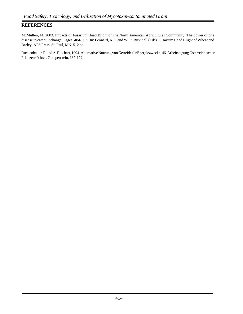#### **REFERENCES**

McMullen, M. 2003. Impacts of Fusarium Head Blight on the North American Agricultural Community: The power of one disease to catapult change. Pages: 484-503. In: Leonard, K. J. and W. R. Bushnell (Eds). Fusarium Head Blight of Wheat and Barley. APS Press, St. Paul, MN. 512 pp.

Ruckenbauer, P. and A. Reichart, 1994. Alternative Nutzung von Getreide für Energiezwecke. 46. Arbeitstagung Österreichischer Pflanzenzüchter, Gumpenstein, 167-172.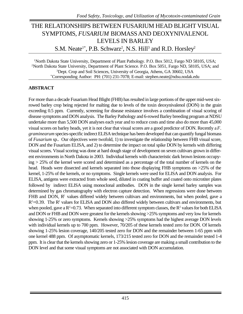# THE RELATIONSHIPS BETWEEN FUSARIUM HEAD BLIGHT VISUAL SYMPTOMS, *FUSARIUM* BIOMASS AND DEOXYNIVALENOL LEVELS IN BARLEY S.M. Neate<sup>1\*</sup>, P.B. Schwarz<sup>2</sup>, N.S. Hill<sup>3</sup> and R.D. Horsley<sup>2</sup>

<sup>1</sup>North Dakota State University, Department of Plant Pathology. P.O. Box 5012, Fargo ND 58105, USA; <sup>2</sup>North Dakota State University, Department of Plant Science. P.O. Box 5051, Fargo ND, 58105, USA; and <sup>3</sup>Dept. Crop and Soil Sciences, University of Georgia, Athens, GA 30602, USA \*Corresponding Author: PH: (701) 231-7078; E-mail: stephen.neate@ndsu.nodak.edu

#### **ABSTRACT**

For more than a decade Fusarium Head Blight (FHB) has resulted in large portions of the upper mid-west sixrowed barley crop being rejected for malting due to levels of the toxin deoxynivalenol (DON) in the grain exceeding 0.5 ppm. Currently, screening for disease resistance involves a combination of visual scoring of disease symptoms and DON analysis. The Barley Pathology and 6-rowed Barley breeding program at NDSU undertake more than 5,500 DON analyses each year and to reduce costs and time also do more than 45,000 visual scores on barley heads, yet it is not clear that visual scores are a good predictor of DON. Recently a *F*. *graminearum* species-specific indirect ELISA technique has been developed that can quantify fungal biomass of *Fusarium* sp.. Our objectives were twofold, 1) to investigate the relationship between FHB visual score, DON and the Fusarium ELISA, and 2) to determine the impact on total spike DON by kernels with differing visual scores. Visual scoring was done at hard dough stage of development on seven cultivars grown in different environments in North Dakota in 2003. Individual kernels with characteristic dark brown lesions occupying > 25% of the kernel were scored and determined as a percentage of the total number of kernels on the head. Heads were dissected and kernels separated into those displaying FHB symptoms on  $>25\%$  of the kernel, 1-25% of the kernels, or no symptoms. Single kernels were used for ELISA and DON analysis. For ELISA, antigens were extracted from whole seed, diluted in coating buffer and coated onto microtiter plates followed by indirect ELISA using monoclonal antibodies. DON in the single kernel barley samples was determined by gas chromatography with electron capture detection. When regressions were done between FHB and DON,  $\mathbb{R}^2$  values differed widely between cultivars and environments, but when pooled, gave a  $R<sup>2</sup>=0.39$ . The  $R<sup>2</sup>$  values for ELISA and DON also differed widely between cultivars and environments, but when pooled, gave a  $R^2$ =0.73. When separated into different symptom classes, the  $R^2$  values for both ELISA and DON or FHB and DON were greatest for the kernels showing >25% symptoms and very low for kernels showing 1-25% or zero symptoms. Kernels showing >25% symptoms had the highest average DON levels with individual kernels up to 700 ppm. However, 70/205 of these kernels tested zero for DON. Of kernels showing 1-25% lesion coverage, 140/205 tested zero for DON and the remainder between 1-65 ppm with one kernel 488 ppm. Of asymptomatic kernels, 173/215 tested zero for DON and the remainder tested 1-4 ppm. It is clear that the kernels showing zero or 1-25% lesion coverage are making a small contribution to the DON level and that some visual symptoms are not associated with DON accumulation.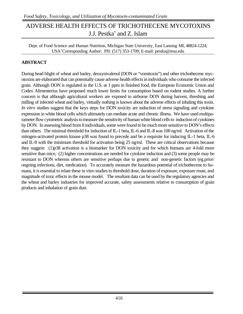# ADVERSE HEALTH EFFECTS OF TRICHOTHECENE MYCOTOXINS J.J. Pestka\* and Z. Islam

Dept. of Food Science and Human Nutrition, Michigan State University, East Lansing MI, 48824-1224, USA\*Corresponding Author: PH: (517) 353-1709; E-mail: pestka@msu.edu

### **ABSTRACT**

During head blight of wheat and barley, deoxynivalenol (DON or "vomitoxin") and other trichothecene mycotoxins are elaborated that can potentially cause adverse health effects in individuals who consume the infected grain. Although DON is regulated in the U.S. at 1 ppm in finished food, the European Economic Union and Codex Alimenterius have proposed much lower limits for consumption based on rodent studies. A further concern is that although agricultural workers are exposed to airborne DON during harvest, threshing and milling of infected wheat and barley, virtually nothing is known about the adverse effects of inhaling this toxin. *In vitro* studies suggest that the keys steps for DON toxicity are induction of stress signaling and cytokine expression in white blood cells which ultimately can mediate acute and chronic illness. We have used multiparameter flow cytometric analysis to measure the sensitivity of human white blood cells to induction of cytokines by DON. In assessing blood from 8 individuals, some were found to be much more sensitive to DON's effects than others. The minimal threshold for induction of IL-1 beta, IL-6 and IL-8 was 100 ng/ml. Activation of the mitogen-activated protein kinase p38 was found to precede and be a requisite for inducing IL-1 beta, IL-6 and IL-8 with the minimum threshold for activation being 25 ng/ml. These are critical observations because they suggest: (1)p38 activation is a biomarker for DON toxicity and for which humans are 4-fold more sensitive than mice, (2) higher concentrations are needed for cytokine induction and (3) some people may be resistant to DON whereas others are sensitive perhaps due to genetic and non-genetic factors (eg.prior/ ongoing infections, diet, medication). To accurately measure the hazardous potential of trichothecene to humans, it is essential to relate these in vitro studies to threshold dose, duration of exposure, exposure route, and magnitude of toxic effects in the mouse model. The resultant data can be used by the regulatory agencies and the wheat and barley industries for improved accurate, safety assessments relative to consumption of grain products and inhalation of grain dust.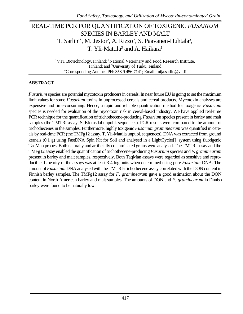### REAL-TIME PCR FOR QUANTIFICATION OF TOXIGENIC *FUSARIUM* SPECIES IN BARLEYAND MALT T. Sarlin<sup>1\*</sup>, M. Jestoi<sup>2</sup>, A. Rizzo<sup>2</sup>, S. Paavanen-Huhtala<sup>3</sup>, T. Yli-Mattila<sup>3</sup> and A. Haikara<sup>1</sup>

<sup>1</sup>VTT Biotechnology, Finland; <sup>2</sup>National Veterinary and Food Research Institute, Finland; and <sup>3</sup>University of Turku, Finland \*Corresponding Author: PH: 358 9 456 7141; Email: tuija.sarlin@vtt.fi

#### **ABSTRACT**

*Fusarium* species are potential mycotoxin producers in cereals. In near future EU is going to set the maximum limit values for some *Fusarium* toxins in unprocessed cereals and cereal products. Mycotoxin analyses are expensive and time-consuming. Hence, a rapid and reliable quantification method for toxigenic *Fusarium* species is needed for evaluation of the mycotoxin risk in cereal-based industry. We have applied real-time PCR technique for the quantification of trichothecene-producing *Fusarium* species present in barley and malt samples (the TMTRI assay, S. Klemsdal unpubl. sequences). PCR results were compared to the amount of trichothecenes in the samples. Furthermore, highly toxigenic *Fusarium graminearum* was quantified in cereals by real-time PCR (the TMFg12 assay, T. Yli-Mattila unpubl. sequences). DNA was extracted from ground kernels  $(0.1 \text{ g})$  using FastDNA Spin Kit for Soil and analysed in a LightCycler<sup>®</sup> system using fluorigenic TaqMan probes. Both naturally and artificially contaminated grains were analysed. The TMTRI assay and the TMFg12 assay enabled the quantification of trichothecene-producing *Fusarium* species and *F. graminearum* present in barley and malt samples, respectively. Both TaqMan assays were regarded as sensitive and reproducible. Linearity of the assays was at least 3-4 log units when determined using pure *Fusarium* DNA. The amount of *Fusarium* DNA analysed with the TMTRI-trichothecene assay correlated with the DON content in Finnish barley samples. The TMFg12 assay for *F. graminearum* gave a good estimation about the DON content in North American barley and malt samples. The amounts of DON and *F. graminearum* in Finnish barley were found to be naturally low.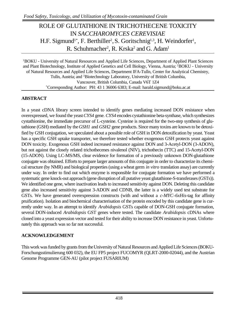# ROLE OF GLUTATHIONE IN TRICHOTHECENE TOXICITY IN *SACCHAROMYCES CEREVISIAE* H.F. Sigmund<sup>1\*</sup>, F. Berthiller<sup>2</sup>, S. Goritschnig<sup>1,3</sup>, H. Weindorfer<sup>1</sup>, R. Schuhmacher<sup>2</sup>, R. Krska<sup>2</sup> and G. Adam<sup>1</sup>

<sup>1</sup>BOKU - University of Natural Resources and Applied Life Sciences, Department of Applied Plant Sciences and Plant Biotechnology, Institute of Applied Genetics and Cell Biology, Vienna, Austria; <sup>2</sup>BOKU - University of Natural Resources and Applied Life Sciences, Department IFA-Tulln, Center for Analytical Chemistry, Tulln, Austria; and <sup>3</sup>Biotechnology Laboratory, University of British Columbia, Vancouver, British Columbia, Canada V6T 1Z4 \*Corresponding Author: PH: 43 1 36006 6383; E-mail: harald.sigmund@boku.ac.at

### **ABSTRACT**

In a yeast cDNA library screen intended to identify genes mediating increased DON resistance when overexpressed, we found the yeast *CYS4* gene. *CYS4* encodes cystathionine beta-synthase, which synthesizes cystathionine, the immediate precursor of L-cysteine. Cysteine is required for the two-step synthesis of glutathione (GSH) mediated by the *GSH1* and *GSH2* gene products. Since many toxins are known to be detoxified by GSH conjugation, we speculated about a possible role of GSH in DON detoxification by yeast. Yeast has a specific GSH uptake transporter, we therefore tested whether exogenous GSH protects yeast against DON toxicity. Exogenous GSH indeed increased resistance against DON and 3-Acetyl-DON (3-ADON), but not against the closely related trichothecenes nivalenol (NIV), trichothecin (TTC) and 15-Acetyl-DON (15-ADON). Using LC-MS/MS, clear evidence for formation of a previously unknown DON-glutathione conjugate was obtained. Efforts to prepare larger amounts of this conjugate in order to characterize its chemical structure (by NMR) and biological properties (using a wheat germ *in vitro* translation assay) are currently under way. In order to find out which enzyme is responsible for conjugate formation we have performed a systematic gene knock-out approach (gene disruption of all putative yeast glutathione-S-transferases (GSTs)). We identified one gene, where inactivation leads to increased sensitivity against DON. Deleting this candidate gene also increased sensitivity against 3-ADON and CDNB, the latter is a widely used test substrate for GSTs. We have generated overexpression constructs (with and without a *c-MYC*-*6xHis*-tag for affinity pruification). Isolation and biochemical characterisation of the protein encoded by this candidate gene is currently under way. In an attempt to identify *Arabidopsis* GSTs capable of DON-GSH conjugate formation, several DON-induced *Arabidopsis* GST genes where tested. The candidate *Arabidopsis* cDNAs where cloned into a yeast expression vector and tested for their ability to increase DON resistance in yeast. Unfortunately this approach was so far not successful.

### **ACKNOWLEDGEMENT**

This work was funded by grants from the University of Natural Resources and Applied Life Sciences (BOKU-Forschungsstimulierung 600 032), the EU FP5 project FUCOMYR (QLRT-2000-02044), and the Austrian Genome Programme GEN-AU (pilot project FUSARIUM)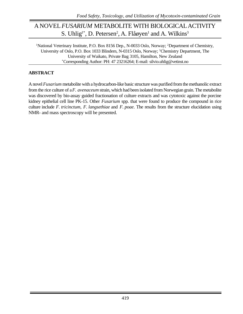### A NOVEL*FUSARIUM* METABOLITE WITH BIOLOGICALACTIVITY S. Uhlig<sup>1\*</sup>, D. Petersen<sup>2</sup>, A. Flåøyen<sup>1</sup> and A. Wilkins<sup>3</sup>

<sup>1</sup>National Veterinary Institute, P.O. Box 8156 Dep., N-0033 Oslo, Norway; <sup>2</sup>Department of Chemistry, University of Oslo, P.O. Box 1033 Blindern, N-0315 Oslo, Norway; <sup>3</sup>Chemistry Department, The University of Waikato, Private Bag 3105, Hamilton, New Zealand \*Corresponding Author: PH: 47 23216264; E-mail: silvio.uhlig@vetinst.no

### **ABSTRACT**

A novel *Fusarium* metabolite with a hydrocarbon-like basic structure was purified from the methanolic extract from the rice culture of a *F. avenaceum* strain, which had been isolated from Norwegian grain. The metabolite was discovered by bio-assay guided fractionation of culture extracts and was cytotoxic against the porcine kidney epithelial cell line PK-15. Other *Fusarium* spp. that were found to produce the compound in rice culture include *F. tricinctum*, *F. langsethiae* and *F. poae*. The results from the structure elucidation using NMR- and mass spectroscopy will be presented.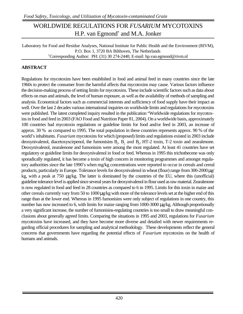# WORLDWIDE REGULATIONS FOR *FUSARIUM* MYCOTOXINS H.P. van Egmond<sup>\*</sup> and M.A. Jonker

Laboratory for Food and Residue Analyses, National Institute for Public Health and the Environment (RIVM), P.O. Box 1, 3720 BA Bilthoven, The Netherlands \*Corresponding Author: PH: (31) 30 274-2440; E-mail: hp.van.egmond@rivm.nl

#### **ABSTRACT**

Regulations for mycotoxins have been established in food and animal feed in many countries since the late 1960s to protect the consumer from the harmful affects that mycotoxins may cause. Various factors influence the decision-making process of setting limits for mycotoxins. These include scientific factors such as data about effects on man and animals, the level of human exposure, as well as the availability of methods of sampling and analysis. Economical factors such as commercial interests and sufficiency of food supply have their impact as well. Over the last 2 decades various international inquiries on worldwide limits and regulations for mycotoxins were published. The latest completed inquiry resulted in the publication "Worldwide regulations for mycotoxins in food and feed in 2003 (FAO Food and Nutrition Paper 81, 2004). On a worldwide basis, approximately 100 countries had mycotoxin regulations or guideline limits for food and/or feed in 2003, an increase of approx. 30 % as compared to 1995. The total population in these countries represents approx. 90 % of the world's inhabitants. *Fusarium* mycotoxins for which (proposed) limits and regulations existed in 2003 include deoxynivalenol, diacetoxyscirpenol, the fumonisins  $B_1$ ,  $B_2$  and  $B_3$ , HT-2 toxin, T-2 toxin and zearalenone. Deoxynivalenol, zearalenone and fumonisins were among the most regulated. At least 41 countries have set regulatory or guideline limits for deoxynivalenol in food or feed. Whereas in 1995 this trichothecene was only sporadically regulated, it has become a toxin of high concern in monitoring programmes and amongst regulatory authorities since the late 1990's when mg/kg concentrations were reported to occur in cereals and cereal products, particularly in Europe. Tolerance levels for deoxynivalenol in wheat (flour) range from 300-2000 μg/ kg, with a peak at 750 μg/kg. The latter is dominated by the countries of the EU, where this (unofficial) guideline tolerance level is applied since several years for deoxynivalenol in flour used as raw material. Zearalenone is now regulated in food and feed in 28 countries as compared to 6 in 1995. Limits for this toxin in maize and other cereals currently vary from 50 to 1000 μg/kg with more of the tolerance levels set at the higher end of this range than at the lower end. Whereas in 1995 fumonisins were only subject of regulations in one country, this number has now increased to 6, with limits for maize ranging from 1000-3000 μg/kg. Although proportionally a very significant increase, the number of fumonisins-regulating countries is too small to draw meaningful conclusions about generally agreed limits. Comparing the situations in 1995 and 2003, regulations for *Fusarium* mycotoxins have increased, and they have become more diverse and detailed with newer requirements regarding official procedures for sampling and analytical methodology. These developments reflect the general concerns that governments have regarding the potential effects of *Fusarium* mycotoxins on the health of humans and animals.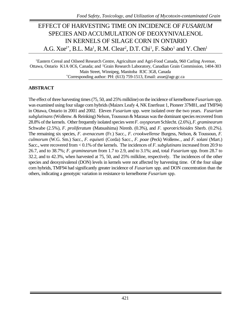# EFFECT OF HARVESTING TIME ON INCIDENCE OF *FUSARIUM* SPECIES AND ACCUMULATION OF DEOXYNIVALENOL IN KERNELS OF SILAGE CORN IN ONTARIO A.G. Xue<sup>1\*</sup>, B.L. Ma<sup>1</sup>, R.M. Clear<sup>2</sup>, D.T. Chi<sup>1</sup>, F. Sabo<sup>1</sup> and Y. Chen<sup>1</sup>

<sup>1</sup>Eastern Cereal and Oilseed Research Centre, Agriculture and Agri-Food Canada, 960 Carling Avenue, Ottawa, Ontario K1A 0C6, Canada; and <sup>2</sup>Grain Research Laboratory, Canadian Grain Commission, 1404-303 Main Street, Winnipeg, Manitoba R3C 3G8, Canada \*Corresponding author: PH: (613) 759-1513, Email: axue@agr.gc.ca

#### **ABSTRACT**

The effect of three harvesting times (75, 50, and 25% milkline) on the incidence of kernelborne *Fusarium* spp. was examined using four silage corn hybrids (Maizex Leafy 4, NK Enerfeast 1, Pioneer 37M81, and TMF94) in Ottawa, Ontario in 2001 and 2002. Eleven *Fusarium* spp. were isolated over the two years. *Fusarium subglutinans* (Wollenw. & Reinking) Nelson, Toussoun & Marasas was the dominant species recovered from 28.8% of the kernels. Other frequently isolated species were *F. oxysporum* Schlecht. (2.6%), *F. graminearum* Schwabe (2.5%)*, F. proliferatum* (Matsushima) Nirenb. (0.3%), and *F. sporotrichioides* Sherb. (0.2%). The remaining six species, *F. avenaceum* (Fr.) Sacc., *F. crookwellense* Burgess, Nelson, & Toussoun*, F. culmorum* (W.G. Sm.) Sacc.*, F. equiseti* (Corda) Sacc.*, F. poae* (Peck) Wollenw.*,* and *F. solani* (Mart.) Sacc., were recovered from < 0.1% of the kernels. The incidences of *F. subglutinans* increased from 20.9 to 26.7, and to 38.7%; *F. graminearum* from 1.7 to 2.9, and to 3.1%; and, total *Fusarium* spp. from 28.7 to 32.2, and to 42.3%, when harvested at 75, 50, and 25% milkline, respectively. The incidences of the other species and deoxynivalenol (DON) levels in kernels were not affected by harvesting time. Of the four silage corn hybrids, TMF94 had significantly greater incidence of *Fusarium* spp. and DON concentration than the others, indicating a genotypic variation in resistance to kernelborne *Fusarium* spp.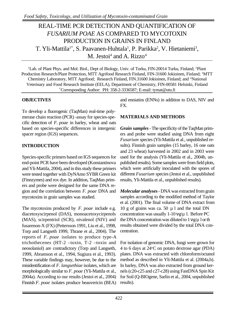# REAL-TIME PCR DETECTION AND QUANTIFICATION OF *FUSARIUM POAE* AS COMPARED TO MYCOTOXIN PRODUCTION IN GRAINS IN FINLAND T. Yli-Mattila<sup>1\*</sup>, S. Paavanen-Huhtala<sup>1</sup>, P. Parikka<sup>2</sup>, V. Hietaniemi<sup>3</sup>, M. Jestoi<sup>4</sup> and A. Rizzo<sup>4</sup>

<sup>1</sup>Lab. of Plant Phys. and Mol. Biol., Dept of Biology, Univ. of Turku, FIN-20014 Turku, Finland; <sup>2</sup>Plant Production Research/Plant Protection, MTT Agrifood Research Finland, FIN-31600 Jokioinen, Finland; <sup>3</sup>MTT Chemistry Laboratory, MTT Agrifood; Research Finland, FIN.31600 Jokioinen, Finland; and <sup>4</sup>National Veterinary and Food Research Institute (EELA), Department of Chemistry, FIN-00581 Helsinki, Finland \*Corresponding Author: PH: 358-2-3336587; E-mail: tymat@utu.fi

#### **OBJECTIVES**

To develop a fluorogenic (TaqMan) real-time polymerase chain reaction (PCR) -assay for species-specific detection of *F. poae* in barley, wheat and oats based on species-specific differences in intergenic spacer region (IGS) sequences.

### **INTRODUCTION**

Species-specific primers based on IGS sequences for end-point PCR have been developed (Konstantinova and Yli-Mattila, 2004), and in this study these primers were tested together with DyNAmo SYBR Green kit (Finnzymes) and rox dye. In addition, TaqMan primers and probe were designed for the same DNA region and the correlation between *F. poae* DNA and mycotoxins in grain samples was studied.

The mycotoxins produced by *F. poae* include e.g. diacetoxyscirpenol (DAS), monoacetoxycirpenols (MAS), scirpentriol (SCR), nivalenol (NIV) and fusarenon-X (FX) (Pettersson 1991, Liu et al., 1998, Torp and Langseth 1999, Thrane et al., 2004). The reports of *F. poae* isolates to produce type-A trichothecenes (HT-2 –toxin, T-2 –toxin and neosolaniol) are contradictory (Torp and Langseth, 1999, Abramson et al., 1994, Sugiura et al., 1993). These variable findings may, however, be due to the misidentification of *F. langsethiae* isolates, which are morphologically similar to *F. poae* (Yli-Mattila et al., 2004a). According to our results (Jestoi et al., 2004) Finnish *F. poae* isolates produce beauvericin (BEA)

and enniatins (ENNs) in addition to DAS, NIV and FX.

#### **MATERIALS AND METHODS**

*Grain samples* - The specificity of the TaqMan primers and probe were studied using DNA from eight *Fusarium* species (Yli-Mattila et al., unpublished results). Finnish grain samples (15 barley, 16 one oats and 23 wheat) harvested in 2002 and in 2003 were used for the analysis (Yli-Mattila et al., 2004b, unpublished results). Some samples were from field plots, which were artificially inoculated with the spores of different *Fusarium* species (Jestoi et al., unpublished results, Yli-Mattila et al., unpublished results).

*Molecular analyses* - DNA was extracted from grain samples according to the modified method of Taylor et al. (2001). The final volume of DNA extract from 10 g of grains was ca. 50  $\mu$  l and the total DN concentration was usually  $1-10\nu$  g/ $\mu$  l. Before PC the DNA concentration was diluted to  $1 \vee g/\mu$  1 or th results obtained were divided by the total DNA concentration.

For isolation of genomic DNA, fungi were grown for 4 to 6 days at  $24^{\circ}$ C on potato dextrose agar (PDA) plates. DNA was extracted with chloroform/octanol method as described in Yli-Mattila et al. (2004a,b). In barley, DNA was also extracted from ground kernels (c20-c25 and c27-c28) using FastDNA Spin Kit for Soil (Q-BIOgene, Sarlin et al., 2004, unpublished results).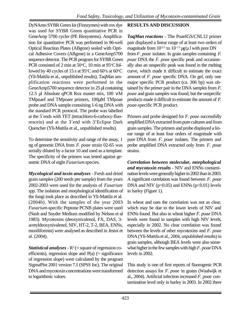DyNAmo SYBR Green kit (Finnzymes) with rox dye was used for SYBR Green quantitative PCR in GeneAmp 5700 cycler (PE Biosystems). Amplification for quantitative PCR was performed in 96-well Optical Reaction Plates (ABgene) sealed with Optical Adhesive Covers (ABgene) in a GeneAmp5700 sequence detector. The PCR program for SYBR Green PCR consisted of 2 min at  $50^{\circ}$ C, 10 min at  $95^{\circ}$ C followed by 40 cycles of 15 s at  $95^{\circ}$ C and  $60^{\circ}$ s at  $60^{\circ}$ C (Yli-Mattila et al., unpublished results). TaqMan amplification reactions were performed in the GeneAmp5700 sequence detector in 25 µl containing 12.5 µl Absolute qPCR Rox master mix, 100 νM TMpoaef and TMpoaer primers, 100μM TMpoae probe and DNA sample containing 1-6 ng DNA with the standard PCR protocol. The probe was labelled at the 5´ends with TET (tetrachloro-6-carboxy-fluorescein) and at the 3´end with 3'Eclipse Dark Quencher (Yli-Mattila et al., unpublished results).

To determine the sensitivity and range of the assay, 1 ng of genomic DNA from *F. poae* strain 02-65 was serially diluted by a factor 10 and used as a template. The specificity of the primers was tested against genomic DNA of eight *Fusarium* species.

*Mycological and toxin analyses* - Fresh and dried grain samples (200 seeds per sample) from the years 2002-2003 were used for the analysis of *Fusarium* spp. The isolation and morphological identification of the fungi took place as described in Yli-Mattila et al. (2004b). With the samples of the year 2003 *Fusarium-*specific Peptone PCNB plates were used (Nash and Snyder Medium modified by Nelson et al 1983). Mycotoxins (deoxynivalenol, FX, DAS, 3 acetyldeoxynivalenol, NIV, HT-2, T-2, BEA, ENNs, moniliformin) were analysed as described in Jestoi et al. (2004).

*Statistical analyses* -  $R^2$  (= square of regression coefficients), regression slope and  $P(a)$  (= significance of regression slope) were calculated by the program SigmaPlot 2001 version 7.1 (SPSS Inc). The original DNA and mycotoxin concentrations were transformed to logarithmic values.

#### **RESULTS AND DISCUSSION**

*TaqMan reactions* - The PoaeIGS/CNL12 primer pair displayed a linear range of at least two orders of magnitude from  $10^{-3.5}$  to  $10^{-1.5}$  µg/µ l with pure DN from *F. poae* isolates. In grain samples containing *F. poae* DNA the *F. poae* specific peak and occasionally also an unspecific peak was found in the melting curve, which made it difficult to estimate the exact amount of *F. poae* specific DNA. On gel, only one major specific PCR product (ca. 306 bp) was obtained by the primer pair in the DNA samples from *F. poae* and grain samples was found, but the unspecific products made it difficult to estimate the amount of *F. poae*-specific PCR product.

Primers and probe designed for *F. poae* successfully amplified DNA extracted from pure cultures and from grain samples. The primers and probe displayed a linear range of at least four orders of magnitude with pure DNA from *F. poae* isolates. The primers and probe amplified DNA extracted only from *F. poae* strains.

*Correlation between molecular, morphological and mycotoxin results* - NIV and ENNs contamination levels were generally higher in 2002 than in 2003. A significant correlation was found between *F. poae* DNA and NIV ( $p<0.05$ ) and ENNs ( $p<0.01$ ) levels in barley (Figure 1).

In wheat and oats the correlation was not as clear, which may be due to the lower levels of NIV and ENNs found. But also in wheat higher *F. poae* DNA levels were found in samples with high NIV levels, especially in 2002. No clear correlation was found between the levels of other mycotoxins and *F. poae* DNA (Yli-Mattila et al., 2004, unpublished results) in grain samples, although BEA levels were also somewhat higher in the few samples with high *F. poae* DNA levels in 2002.

This study is one of first reports of fluorogenic PCR detection assays for *F. poae* in grains (Waalwijk et al., 2004). Artificial infection increased *F. poae* contamination level only in barley in 2003. In 2002 there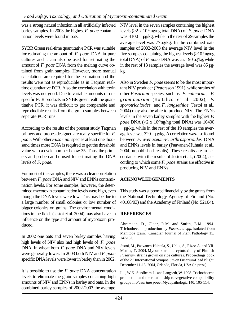was a strong natural infection in all artificially infected barley samples. In 2003 the highest *F. poae* contamination levels were found in oats.

SYBR Green real-time quantitative PCR was suitable for estimating the amount of *F. poae* DNA in pure cultures and it can also be used for estimating the amount of *F. poae* DNA from the melting curve obtained from grain samples. However, more manual calculations are required for the estimation and the results were not as reproducible as in Taqman realtime quantitative PCR. Also the correlation with toxin levels was not good. Due to variable amounts of unspecific PCR products in SYBR green realtime quantitative PCR, it was difficult to get comparable and reproducible results from the grain samples between separate PCR runs.

According to the results of the present study Taqman primers and probes designed are really specific for *F. poae*. With other *Fusarium* species at least one thousand times more DNA is required to get the threshold value with a cycle number below 35. Thus, the primers and probe can be used for estimating the DNA levels of *F. poae*.

For most of the samples, there was a clear correlation between *F. poae* DNA and NIV and ENNs contamination levels. For some samples, however, the determined mycotoxin contamination levels were high, even though the DNA levels were low. This may be due to a large number of small colonies or low number of bigger colonies on grains. The environmental conditions in the fields (Jestoi et al. 2004) may also have an influence on the type and amount of mycotoxin produced.

In 2002 one oats and seven barley samples having high levels of NIV also had high levels of *F. poae* DNA. In wheat both *F. poae* DNA and NIV levels were generally lower. In 2003 both NIV and *F. poae* specific DNA levels were lower in barley than in 2002.

It is possible to use the *F. poae* DNA concentration levels to eliminate the grain samples containing high amounts of NIV and ENNs in barley and oats. In the combined barley samples of 2002-2003 the average

NIV level in the seven samples containing the highest levels (>2 x 10-3 ng/ng total DNA) of *F. poae* DNA was 4100 µg/kg, while in the rest of 29 samples the average level was 77µg/kg. In the combined oats samples of 2002-2003 the average NIV level in the five samples containing the highest levels  $(>10<sup>-4</sup>$  ng/ng total DNA) of *F. poae* DNA was ca. 190 µg/kg, while in the rest of 13 samples the average level was 85 µg/ kg.

Also in Sweden *F. poae* seems to be the most important NIV producer (Pettersson 1991), while strains of other *Fusarium* species, such as *F. culmorum, F. graminearum* (Bottalico et al. 2002), *F. sporotrichioides* and *F. langsethiae* (Jestoi et al., 2004) may also be able to produce NIV. The ENNs levels in the seven barley samples with the highest *F. poae* DNA (>2 x 10<sup>-3</sup>ng/ng total DNA) was 10400

µg/kg, while in the rest of the 19 samples the average level was 320 µg/kg. A correlation was also found between *F. avenaceum/F. arthrosporioides* DNA and ENNs levels in barley (Paavanen-Huhtala et al., 2004, unpublished results). These results are in accordance with the results of Jestoi et al., (2004), according to which some *F. poae* strains are effective in producing NIV and ENNs.

#### **ACKNOWLEDGEMENTS**

This study was supported financially by the grants from the National Technology Agency of Finland (No. 40168/03) and the Academy of Finland (No. 52104).

### **REFERENCES**

Abramson, D., Clear, R.M. and Smith, E.M. 1994. Trichothecene production by *Fusarium spp.* isolated from Manitoba grain. Canadian Journal of Plant Pathology 15, 147-152.

Jestoi, M., Paavanen-Huhtala, S., Uhlig, S., Rizzo A. and Yli-Mattila, T. 2004. Mycotoxins and cytotoxicity of Finnish *Fusarium* strains grown on rice cultures. Proceedings book of the 2nd International Symposium on FusariumHead Blight, December 11-15, 2004, Orlando, Florida, USA (in press).

Liu, W.Z., Sundheim, L. and Langseth, W. 1998. Trichothecene production and the relationship to vegetative compatibility groups in *Fusarium poae*. Mycopathologia 140: 105-114.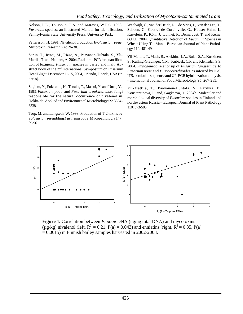Nelson, P.E., Toussoun, T.A. and Marasas, W.F.O. 1963. *Fusarium* species: an illustrated Manual for identification. Pennsylvania State University Press, University Park.

Pettersson, H. 1991. Nivalenol production by *Fusarium poae*. Mycotoxin Research 7A: 26-30.

Sarlin, T., Jestoi, M., Rizzo, A., Paavanen-Huhtala, S., Yli-Mattila, T. and Haikara, A. 2004. Real-time PCR for quantification of toxigenic *Fusarium* species in barley and malt. Abstract book of the 2nd International Symposium on Fusarium Head Blight, December 11-15, 2004, Orlando, Florida, USA (in press).

Sugiura, Y., Fukasaku, K., Tanaka, T., Matsui, Y. and Uneo, Y. 1993. *Fusarium poae* and *Fusarium crookwellense,* fungi responsible for the natural occurrence of nivalenol in Hokkaido. Applied and Environmental Microbiology 59: 3334- 3338.

Torp, M. and Langseth, W. 1999. Production of T-2 toxins by a *Fusarium* resembling *Fusarium poae*. Mycopathologia 147: 89-96.

Waalwijk, C., van der Heide, R., de Vries, I., van der Lee, T., Schoen, C., Costrel-de Corainville, G., Häuser-Hahn, I., Kastelein, P., Köhl, J, Lonnet, P., Demarquet, T. and Kema, G.H.J. 2004. Quantitative Detection of *Fusarium* Species in Wheat Using TaqMan – European Journal of Plant Pathology 110: 481-494.

Yli-Mattila, T., Mach, R., Alekhina, I.A., Bulat, S.A., Koskinen, S., Kullnig-Gradinger, C.M., Kubicek, C.P. and Klemsdal, S.S. 2004. Phylogenetic relationsip of *Fusarium langsethiae* to *Fusarium poae* and *F. sporotrichioides* as inferred by IGS, ITS, b-tubulin sequence and UP-PCR hybridization analysis. - International Journal of Food Microbiology 95: 267-285.

Yli-Mattila, T., Paavanen-Huhtala, S., Parikka, P., Konstantinova, P. and, Gagkaeva, T. 2004b. Molecular and morphological diversity of *Fusarium* species in Finland and northwestern Russia – European Journal of Plant Pathology 110: 573-585.



**Figure 1.** Correlation between *F. poae* DNA (ng/ng total DNA) and mycotoxins ( $\mu$ g/kg) nivalenol (left,  $R^2 = 0.21$ , P(a) = 0.043) and enniatins (right,  $R^2 = 0.35$ , P(a)  $= 0.0015$ ) in Finnish barley samples harvested in 2002-2003.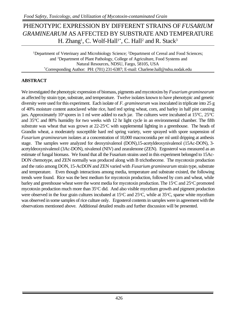# PHENOTYPIC EXPRESSION BY DIFFERENT STRAINS OF *FUSARIUM GRAMINEARUM* AS AFFECTED BY SUBSTRATE AND TEMPERATURE H. Zhang<sup>1</sup>, C. Wolf-Hall<sup>1\*</sup>, C. Hall<sup>2</sup> and R. Stack<sup>3</sup>

<sup>1</sup>Department of Veterinary and Microbiology Science; <sup>2</sup>Department of Cereal and Food Sciences; and <sup>3</sup>Department of Plant Pathology, College of Agriculture, Food Systems and Natural Resources, NDSU, Fargo, 58105, USA \*Corresponding Author: PH: (701) 231-6387; E-mail: Charlene.hall@ndsu.nodak.edu

#### **ABSTRACT**

We investigated the phenotypic expression of biomass, pigments and mycotoxins by *Fusarium graminearum* as affected by strain type, substrate, and temperature. Twelve isolates known to have phenotypic and genetic diversity were used for this experiment. Each isolate of *F. graminearum* was inoculated in triplicate into 25 g of 40% moisture content autoclaved white rice, hard red spring wheat, corn, and barley in half pint canning jars. Approximately 10<sup>4</sup> spores in 1 ml were added to each jar. The cultures were incubated at  $15^{\circ}$ C,  $25^{\circ}$ C and 35°C and 80% humidity for two weeks with 12 hr light cycle in an environmental chamber. The fifth substrate was wheat that was grown at  $22-25^{\circ}$ C with supplemental lighting in a greenhouse. The heads of Grandin wheat, a moderately susceptible hard red spring variety, were sprayed with spore suspension of *Fusarium graminearum* isolates at a concentration of 10,000 macroconidia per ml until dripping at anthesis stage. The samples were analyzed for deoxynivalenol (DON),15-acetyldeoxynivalenol (15Ac-DON), 3 acetyldeoxynivalenol (3Ac-DON), nivalenol (NIV) and zearalenone (ZEN). Ergosterol was measured as an estimate of fungal biomass. We found that all the Fusarium strains used in this experiment belonged to 15Ac-DON chemotype, and ZEN normally was produced along with B trichothecene. The mycotoxin production and the ratio among DON, 15-AcDON and ZEN varied with *Fusarium graminearum* strain type, substrate and temperature. Even though interactions among media, temperature and substrate existed, the following trends were found. Rice was the best medium for mycotoxin production, followed by corn and wheat, while barley and greenhouse wheat were the worst media for mycotoxin production. The 15°C and 25°C promoted mycotoxin production much more than  $35^{\circ}$ C did. And also visible mycelium growth and pigment production were observed in the four grain cultures incubated at  $15^{\circ}$ C and  $25^{\circ}$ C, while at  $35^{\circ}$ C, sparse white mycelium was observed in some samples of rice culture only. Ergosterol contents in samples were in agreement with the observations mentioned above. Additional detailed results and further discussion will be presented.